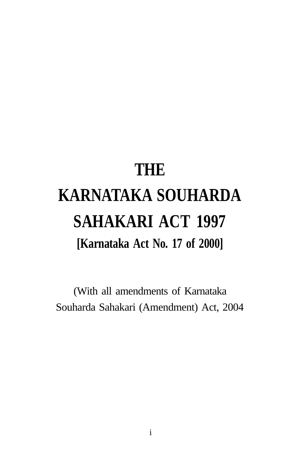# **THE KARNATAKA SOUHARDA SAHAKARI ACT 1997 [Karnataka Act No. 17 of 2000]**

(With all amendments of Karnataka Souharda Sahakari (Amendment) Act, 2004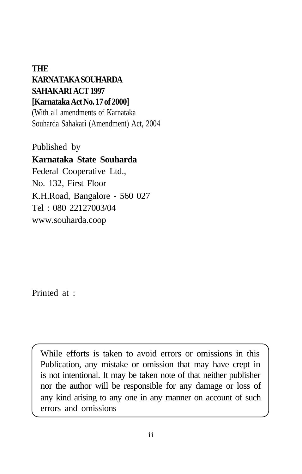#### **THE KARNATAKA SOUHARDA SAHAKARI ACT 1997 [Karnataka Act No. 17 of 2000]**

(With all amendments of Karnataka Souharda Sahakari (Amendment) Act, 2004

Published by

#### **Karnataka State Souharda**

Federal Cooperative Ltd., No. 132, First Floor K.H.Road, Bangalore - 560 027 Tel : 080 22127003/04 www.souharda.coop

Printed at :

While efforts is taken to avoid errors or omissions in this Publication, any mistake or omission that may have crept in is not intentional. It may be taken note of that neither publisher nor the author will be responsible for any damage or loss of any kind arising to any one in any manner on account of such errors and omissions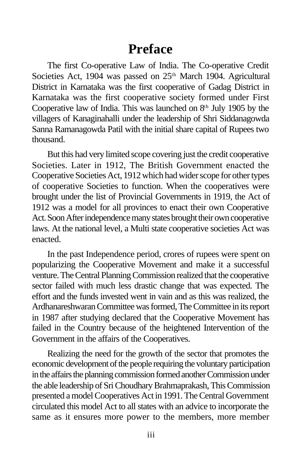### **Preface**

The first Co-operative Law of India. The Co-operative Credit Societies Act, 1904 was passed on 25<sup>th</sup> March 1904. Agricultural District in Karnataka was the first cooperative of Gadag District in Karnataka was the first cooperative society formed under First Cooperative law of India. This was launched on  $8<sup>th</sup>$  July 1905 by the villagers of Kanaginahalli under the leadership of Shri Siddanagowda Sanna Ramanagowda Patil with the initial share capital of Rupees two thousand.

But this had very limited scope covering just the credit cooperative Societies. Later in 1912, The British Government enacted the Cooperative Societies Act, 1912 which had wider scope for other types of cooperative Societies to function. When the cooperatives were brought under the list of Provincial Governments in 1919, the Act of 1912 was a model for all provinces to enact their own Cooperative Act. Soon After independence many states brought their own cooperative laws. At the national level, a Multi state cooperative societies Act was enacted.

In the past Independence period, crores of rupees were spent on popularizing the Cooperative Movement and make it a successful venture. The Central Planning Commission realized that the cooperative sector failed with much less drastic change that was expected. The effort and the funds invested went in vain and as this was realized, the Ardhanareshwaran Committee was formed, The Committee in its report in 1987 after studying declared that the Cooperative Movement has failed in the Country because of the heightened Intervention of the Government in the affairs of the Cooperatives.

Realizing the need for the growth of the sector that promotes the economic development of the people requiring the voluntary participation in the affairs the planning commission formed another Commission under the able leadership of Sri Choudhary Brahmaprakash, This Commission presented a model Cooperatives Act in 1991. The Central Government circulated this model Act to all states with an advice to incorporate the same as it ensures more power to the members, more member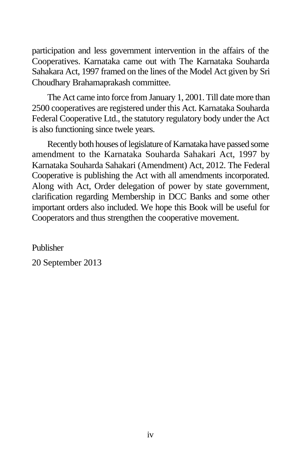participation and less government intervention in the affairs of the Cooperatives. Karnataka came out with The Karnataka Souharda Sahakara Act, 1997 framed on the lines of the Model Act given by Sri Choudhary Brahamaprakash committee.

The Act came into force from January 1, 2001. Till date more than 2500 cooperatives are registered under this Act. Karnataka Souharda Federal Cooperative Ltd., the statutory regulatory body under the Act is also functioning since twele years.

Recently both houses of legislature of Karnataka have passed some amendment to the Karnataka Souharda Sahakari Act, 1997 by Karnataka Souharda Sahakari (Amendment) Act, 2012. The Federal Cooperative is publishing the Act with all amendments incorporated. Along with Act, Order delegation of power by state government, clarification regarding Membership in DCC Banks and some other important orders also included. We hope this Book will be useful for Cooperators and thus strengthen the cooperative movement.

Publisher 20 September 2013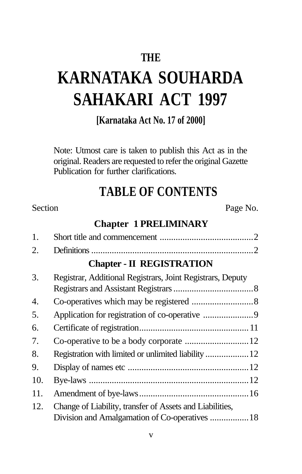### **THE**

## **KARNATAKA SOUHARDA SAHAKARI ACT 1997**

**[Karnataka Act No. 17 of 2000]**

Note: Utmost care is taken to publish this Act as in the original. Readers are requested to refer the original Gazette Publication for further clarifications.

### **TABLE OF CONTENTS**

#### Section Page No.

#### **Chapter 1 PRELIMINARY**

| 1.  |                                                            |  |
|-----|------------------------------------------------------------|--|
| 2.  |                                                            |  |
|     | <b>Chapter - II REGISTRATION</b>                           |  |
| 3.  | Registrar, Additional Registrars, Joint Registrars, Deputy |  |
| 4.  |                                                            |  |
| 5.  |                                                            |  |
| 6.  |                                                            |  |
| 7.  |                                                            |  |
| 8.  | Registration with limited or unlimited liability  12       |  |
| 9.  |                                                            |  |
| 10. |                                                            |  |
| 11. |                                                            |  |
| 12. | Change of Liability, transfer of Assets and Liabilities,   |  |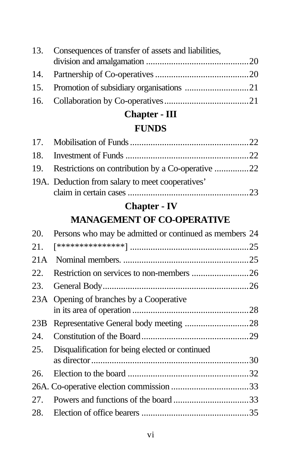| 13. Consequences of transfer of assets and liabilities, |  |
|---------------------------------------------------------|--|
|                                                         |  |
|                                                         |  |
|                                                         |  |
|                                                         |  |

## **Chapter - III**

### **FUNDS**

| 19. Restrictions on contribution by a Co-operative 22 |  |
|-------------------------------------------------------|--|
| 19A. Deduction from salary to meet cooperatives'      |  |
|                                                       |  |

### **Chapter - IV**

### **MANAGEMENT OF CO-OPERATIVE**

| 20. | Persons who may be admitted or continued as members 24 |  |
|-----|--------------------------------------------------------|--|
| 21. |                                                        |  |
| 21A |                                                        |  |
| 22. |                                                        |  |
| 23. |                                                        |  |
|     | 23A Opening of branches by a Cooperative               |  |
|     |                                                        |  |
| 23B |                                                        |  |
| 24. |                                                        |  |
| 25. | Disqualification for being elected or continued        |  |
|     |                                                        |  |
| 26. |                                                        |  |
|     |                                                        |  |
|     |                                                        |  |
| 28. |                                                        |  |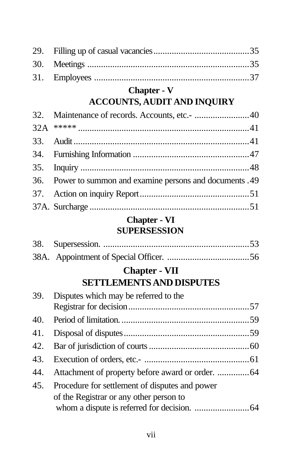### **Chapter - V**

### **ACCOUNTS, AUDIT AND INQUIRY**

| 36. Power to summon and examine persons and documents .49 |
|-----------------------------------------------------------|
|                                                           |
|                                                           |

#### **Chapter - VI SUPERSESSION**

#### **Chapter - VII SETTLEMENTS AND DISPUTES**

| 39. Disputes which may be referred to the          |  |
|----------------------------------------------------|--|
|                                                    |  |
|                                                    |  |
|                                                    |  |
|                                                    |  |
|                                                    |  |
| 45. Procedure for settlement of disputes and power |  |
| of the Registrar or any other person to            |  |
|                                                    |  |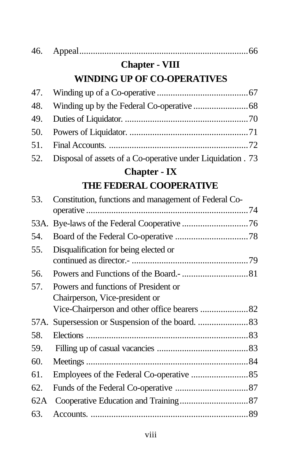|     | <b>Chapter - VIII</b>                                       |  |
|-----|-------------------------------------------------------------|--|
|     | <b>WINDING UP OF CO-OPERATIVES</b>                          |  |
|     |                                                             |  |
|     |                                                             |  |
|     |                                                             |  |
|     |                                                             |  |
|     |                                                             |  |
| 52. | Disposal of assets of a Co-operative under Liquidation . 73 |  |
|     |                                                             |  |

### **Chapter - IX THE FEDERAL COOPERATIVE**

| 53. | Constitution, functions and management of Federal Co- |  |
|-----|-------------------------------------------------------|--|
|     |                                                       |  |
|     |                                                       |  |
| 54. |                                                       |  |
| 55. | Disqualification for being elected or                 |  |
|     |                                                       |  |
| 56. |                                                       |  |
| 57. | Powers and functions of President or                  |  |
|     | Chairperson, Vice-president or                        |  |
|     |                                                       |  |
|     |                                                       |  |
| 58. |                                                       |  |
| 59. |                                                       |  |
| 60. |                                                       |  |
| 61. |                                                       |  |
| 62. |                                                       |  |
| 62A |                                                       |  |
| 63. |                                                       |  |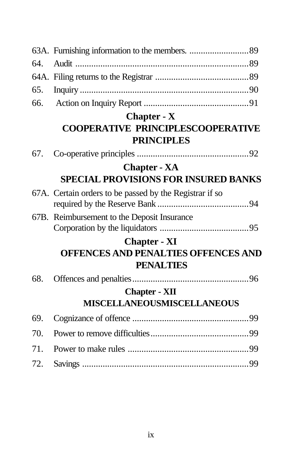| 64. |                                                         |  |
|-----|---------------------------------------------------------|--|
|     |                                                         |  |
| 65. |                                                         |  |
| 66. |                                                         |  |
|     | <b>Chapter - X</b>                                      |  |
|     | <b>COOPERATIVE PRINCIPLESCOOPERATIVE</b>                |  |
|     | <b>PRINCIPLES</b>                                       |  |
| 67. |                                                         |  |
|     | <b>Chapter - XA</b>                                     |  |
|     | <b>SPECIAL PROVISIONS FOR INSURED BANKS</b>             |  |
|     | 67A. Certain orders to be passed by the Registrar if so |  |
|     | 67B. Reimbursement to the Deposit Insurance             |  |
|     | <b>Chapter - XI</b>                                     |  |
|     | <b>OFFENCES AND PENALTIES OFFENCES AND</b>              |  |
|     | <b>PENALTIES</b>                                        |  |
| 68. |                                                         |  |
|     | <b>Chapter - XII</b>                                    |  |
|     | <b>MISCELLANEOUSMISCELLANEOUS</b>                       |  |
| 69. |                                                         |  |
| 70. |                                                         |  |
| 71. |                                                         |  |
| 72. |                                                         |  |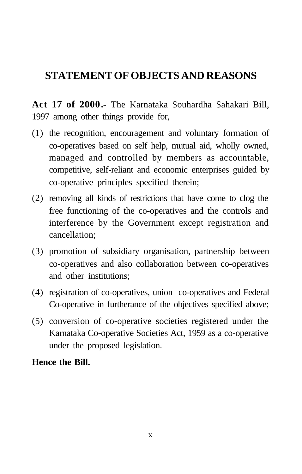### **STATEMENT OF OBJECTS AND REASONS**

**Act 17 of 2000.-** The Karnataka Souhardha Sahakari Bill, 1997 among other things provide for,

- (1) the recognition, encouragement and voluntary formation of co-operatives based on self help, mutual aid, wholly owned, managed and controlled by members as accountable, competitive, self-reliant and economic enterprises guided by co-operative principles specified therein;
- (2) removing all kinds of restrictions that have come to clog the free functioning of the co-operatives and the controls and interference by the Government except registration and cancellation;
- (3) promotion of subsidiary organisation, partnership between co-operatives and also collaboration between co-operatives and other institutions;
- (4) registration of co-operatives, union co-operatives and Federal Co-operative in furtherance of the objectives specified above;
- (5) conversion of co-operative societies registered under the Karnataka Co-operative Societies Act, 1959 as a co-operative under the proposed legislation.

#### **Hence the Bill.**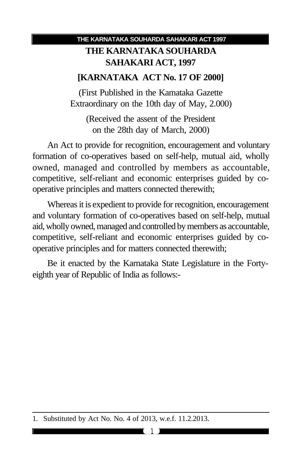#### **THE KARNATAKA SOUHARDA SAHAKARI ACT, 1997**

#### **[KARNATAKA ACT No. 17 OF 2000]**

(First Published in the Kamataka Gazette Extraordinary on the 10th day of May, 2.000)

(Received the assent of the President on the 28th day of March, 2000)

An Act to provide for recognition, encouragement and voluntary formation of co-operatives based on self-help, mutual aid, wholly owned, managed and controlled by members as accountable, competitive, self-reliant and economic enterprises guided by cooperative principles and matters connected therewith;

Whereas it is expedient to provide for recognition, encouragement and voluntary formation of co-operatives based on self-help, mutual aid, wholly owned, managed and controlled by members as accountable, competitive, self-reliant and economic enterprises guided by cooperative principles and for matters connected therewith;

Be it enacted by the Karnataka State Legislature in the Fortyeighth year of Republic of India as follows:-

<sup>1.</sup> Substituted by Act No. No. 4 of 2013, w.e.f. 11.2.2013.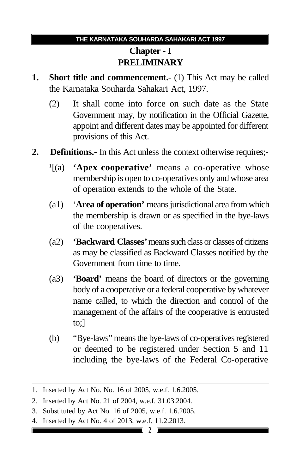### **Chapter - I PRELIMINARY**

- **1. Short title and commencement.** (1) This Act may be called the Karnataka Souharda Sahakari Act, 1997.
	- (2) It shall come into force on such date as the State Government may, by notification in the Official Gazette, appoint and different dates may be appointed for different provisions of this Act.
- **2. Definitions.-** In this Act unless the context otherwise requires;-
	- $\frac{1}{a}$   $\left[ (a) \right]$ 'Apex cooperative' means a co-operative whose membership is open to co-operatives only and whose area of operation extends to the whole of the State.
	- (a1) '**Area of operation'** means jurisdictional area from which the membership is drawn or as specified in the bye-laws of the cooperatives.
	- (a2) **'Backward Classes'** means such class or classes of citizens as may be classified as Backward Classes notified by the Government from time to time.
	- (a3) **'Board'** means the board of directors or the governing body of a cooperative or a federal cooperative by whatever name called, to which the direction and control of the management of the affairs of the cooperative is entrusted to;]
	- (b) "Bye-laws" means the bye-laws of co-operatives registered or deemed to be registered under Section 5 and 11 including the bye-laws of the Federal Co-operative

4. Inserted by Act No. 4 of 2013, w.e.f. 11.2.2013.

<sup>1.</sup> Inserted by Act No. No. 16 of 2005, w.e.f. 1.6.2005.

<sup>2.</sup> Inserted by Act No. 21 of 2004, w.e.f. 31.03.2004.

<sup>3.</sup> Substituted by Act No. 16 of 2005, w.e.f. 1.6.2005.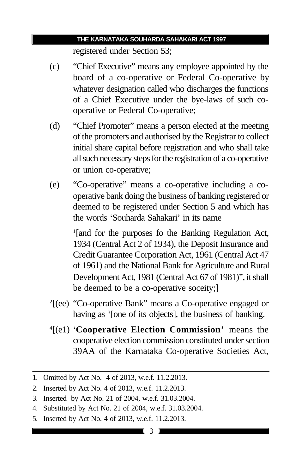registered under Section 53;

- (c) "Chief Executive" means any employee appointed by the board of a co-operative or Federal Co-operative by whatever designation called who discharges the functions of a Chief Executive under the bye-laws of such cooperative or Federal Co-operative;
- (d) "Chief Promoter" means a person elected at the meeting of the promoters and authorised by the Registrar to collect initial share capital before registration and who shall take all such necessary steps for the registration of a co-operative or union co-operative;
- (e) "Co-operative" means a co-operative including a cooperative bank doing the business of banking registered or deemed to be registered under Section 5 and which has the words 'Souharda Sahakari' in its name

<sup>1</sup>[and for the purposes fo the Banking Regulation Act, 1934 (Central Act 2 of 1934), the Deposit Insurance and Credit Guarantee Corporation Act, 1961 (Central Act 47 of 1961) and the National Bank for Agriculture and Rural Development Act, 1981 (Central Act 67 of 1981)", it shall be deemed to be a co-operative soceity;]

- 2 [(ee) "Co-operative Bank" means a Co-operative engaged or having as <sup>3</sup> [one of its objects], the business of banking.
- 4 [(e1) '**Cooperative Election Commission'** means the cooperative election commission constituted under section 39AA of the Karnataka Co-operative Societies Act,

- 4. Substituted by Act No. 21 of 2004, w.e.f. 31.03.2004.
- 5. Inserted by Act No. 4 of 2013, w.e.f. 11.2.2013.

<sup>1.</sup> Omitted by Act No. 4 of 2013, w.e.f. 11.2.2013.

<sup>2.</sup> Inserted by Act No. 4 of 2013, w.e.f. 11.2.2013.

<sup>3.</sup> Inserted by Act No. 21 of 2004, w.e.f. 31.03.2004.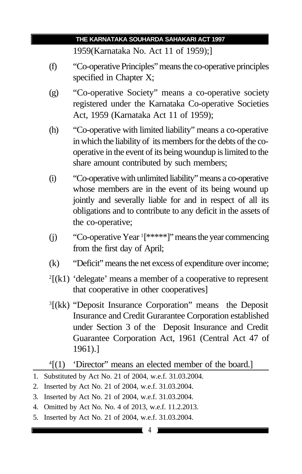1959(Karnataka No. Act 11 of 1959);]

- (f) "Co-operative Principles" means the co-operative principles specified in Chapter X;
- (g) "Co-operative Society" means a co-operative society registered under the Karnataka Co-operative Societies Act, 1959 (Karnataka Act 11 of 1959);
- (h) "Co-operative with limited liability" means a co-operative in which the liability of its members for the debts of the cooperative in the event of its being woundup is limited to the share amount contributed by such members;
- (i) "Co-operative with unlimited liability" means a co-operative whose members are in the event of its being wound up jointly and severally liable for and in respect of all its obligations and to contribute to any deficit in the assets of the co-operative;
- (j) "Co-operative Year <sup>1</sup> [\*\*\*\*\*]" means the year commencing from the first day of April;
- (k) "Deficit" means the net excess of expenditure over income;
- $2[(k1)$  'delegate' means a member of a cooperative to represent that cooperative in other cooperatives]
- 3 [(kk) "Deposit Insurance Corporation" means the Deposit Insurance and Credit Gurarantee Corporation established under Section 3 of the Deposit Insurance and Credit Guarantee Corporation Act, 1961 (Central Act 47 of 1961).]

- 1. Substituted by Act No. 21 of 2004, w.e.f. 31.03.2004.
- 2. Inserted by Act No. 21 of 2004, w.e.f. 31.03.2004.
- 3. Inserted by Act No. 21 of 2004, w.e.f. 31.03.2004.
- 4. Omitted by Act No. No. 4 of 2013, w.e.f. 11.2.2013.
- 5. Inserted by Act No. 21 of 2004, w.e.f. 31.03.2004.

<sup>4</sup> [(1) 'Director" means an elected member of the board.]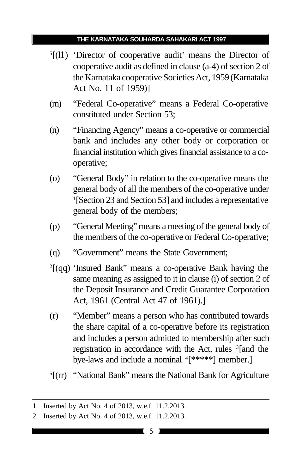- <sup>5</sup>[(11) 'Director of cooperative audit' means the Director of cooperative audit as defined in clause (a-4) of section 2 of the Karnataka cooperative Societies Act, 1959 (Karnataka Act No. 11 of 1959)]
- (m) "Federal Co-operative" means a Federal Co-operative constituted under Section 53;
- (n) "Financing Agency" means a co-operative or commercial bank and includes any other body or corporation or financial institution which gives financial assistance to a cooperative;
- (o) "General Body" in relation to the co-operative means the general body of all the members of the co-operative under 1 [Section 23 and Section 53] and includes a representative general body of the members;
- (p) "General Meeting" means a meeting of the general body of the members of the co-operative or Federal Co-operative;
- (q) "Government" means the State Government;
- 2 [(qq) 'Insured Bank" means a co-operative Bank having the same meaning as assigned to it in clause (i) of section 2 of the Deposit Insurance and Credit Guarantee Corporation Act, 1961 (Central Act 47 of 1961).]
- (r) "Member" means a person who has contributed towards the share capital of a co-operative before its registration and includes a person admitted to membership after such registration in accordance with the Act, rules <sup>3</sup>[and the bye-laws and include a nominal <sup>4</sup>[\*\*\*\*\*] member.]
- <sup>5</sup>[(rr) "National Bank" means the National Bank for Agriculture

<sup>1.</sup> Inserted by Act No. 4 of 2013, w.e.f. 11.2.2013.

<sup>2.</sup> Inserted by Act No. 4 of 2013, w.e.f. 11.2.2013.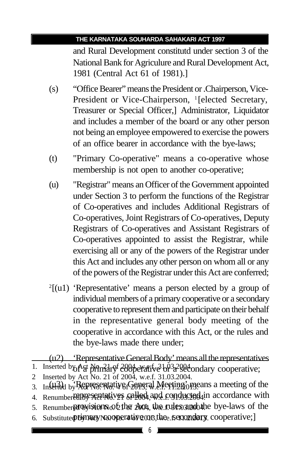and Rural Development constitutd under section 3 of the National Bank for Agriculure and Rural Development Act, 1981 (Central Act 61 of 1981).]

- (s) "Office Bearer" means the President or .Chairperson, Vice-President or Vice-Chairperson, <sup>1</sup>[elected Secretary, Treasurer or Special Officer,] Administrator, Liquidator and includes a member of the board or any other person not being an employee empowered to exercise the powers of an office bearer in accordance with the bye-laws;
- (t) "Primary Co-operative" means a co-operative whose membership is not open to another co-operative;
- (u) "Registrar" means an Officer of the Government appointed under Section 3 to perform the functions of the Registrar of Co-operatives and includes Additional Registrars of Co-operatives, Joint Registrars of Co-operatives, Deputy Registrars of Co-operatives and Assistant Registrars of Co-operatives appointed to assist the Registrar, while exercising all or any of the powers of the Registrar under this Act and includes any other person on whom all or any of the powers of the Registrar under this Act are conferred;
- 2 [(u1) 'Representative' means a person elected by a group of individual members of a primary cooperative or a secondary cooperative to represent them and participate on their behalf in the representative general body meeting of the cooperative in accordance with this Act, or the rules and the bye-laws made there under;

6. Substitute primary No. Operative on the secondary cooperative;

<sup>(</sup>u2) 'Representative General Body' means all the representatives

<sup>1.</sup> Inserted by Act Normary cooperative or <sup>2004</sup> and 2004 cooperative;

<sup>2</sup> Inserted by Act No. 21 of 2004, w.e.f. 31.03.2004.

<sup>3.</sup> Inserted by Representative General Meeting one an a meeting of the

<sup>4.</sup> Renumbered by exated ives called and conducted in accordance with

<sup>5.</sup> Renumber purovisions of the 2004, the rules and the bye-laws of the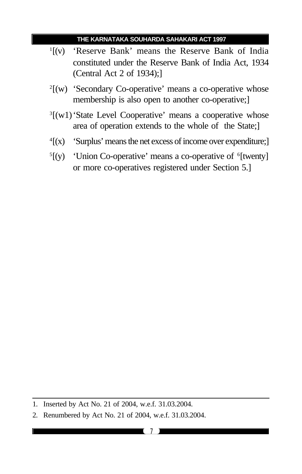- $\frac{1}{1}(v)$ 'Reserve Bank' means the Reserve Bank of India constituted under the Reserve Bank of India Act, 1934 (Central Act 2 of 1934);]
- 2 [(w) 'Secondary Co-operative' means a co-operative whose membership is also open to another co-operative;]
- <sup>3</sup>[(w1) 'State Level Cooperative' means a cooperative whose area of operation extends to the whole of the State;]
- $\sqrt[4]{(x)}$ 'Surplus' means the net excess of income over expenditure;]
- $5\left[\mathrm{(y)}\right]$ [(y) 'Union Co-operative' means a co-operative of <sup>6</sup>[twenty] or more co-operatives registered under Section 5.]

<sup>1.</sup> Inserted by Act No. 21 of 2004, w.e.f. 31.03.2004.

<sup>2.</sup> Renumbered by Act No. 21 of 2004, w.e.f. 31.03.2004.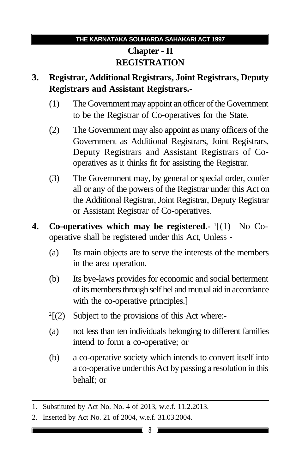### **Chapter - II REGISTRATION**

#### **3. Registrar, Additional Registrars, Joint Registrars, Deputy Registrars and Assistant Registrars.-**

- (1) The Government may appoint an officer of the Government to be the Registrar of Co-operatives for the State.
- (2) The Government may also appoint as many officers of the Government as Additional Registrars, Joint Registrars, Deputy Registrars and Assistant Registrars of Cooperatives as it thinks fit for assisting the Registrar.
- (3) The Government may, by general or special order, confer all or any of the powers of the Registrar under this Act on the Additional Registrar, Joint Registrar, Deputy Registrar or Assistant Registrar of Co-operatives.
- 4. Co-operatives which may be registered.- <sup>1</sup>[(1) No Cooperative shall be registered under this Act, Unless -
	- (a) Its main objects are to serve the interests of the members in the area operation.
	- (b) Its bye-laws provides for economic and social betterment of its members through self hel and mutual aid in accordance with the co-operative principles.]
	- $^{2}[(2)]$ Subject to the provisions of this Act where:-
	- (a) not less than ten individuals belonging to different families intend to form a co-operative; or
	- (b) a co-operative society which intends to convert itself into a co-operative under this Act by passing a resolution in this behalf; or

<sup>1.</sup> Substituted by Act No. No. 4 of 2013, w.e.f. 11.2.2013.

<sup>2.</sup> Inserted by Act No. 21 of 2004, w.e.f. 31.03.2004.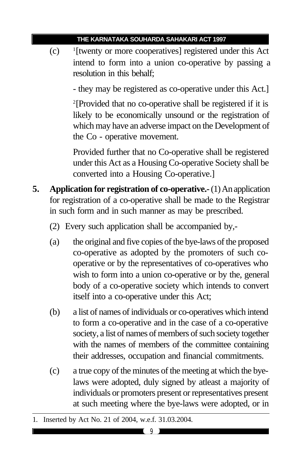$(c)$ <sup>1</sup>[twenty or more cooperatives] registered under this Act intend to form into a union co-operative by passing a resolution in this behalf;

- they may be registered as co-operative under this Act.]

2 [Provided that no co-operative shall be registered if it is likely to be economically unsound or the registration of which may have an adverse impact on the Development of the Co - operative movement.

Provided further that no Co-operative shall be registered under this Act as a Housing Co-operative Society shall be converted into a Housing Co-operative.]

- **5. Application for registration of co-operative.-** (1) An application for registration of a co-operative shall be made to the Registrar in such form and in such manner as may be prescribed.
	- (2) Every such application shall be accompanied by,-
	- (a) the original and five copies of the bye-laws of the proposed co-operative as adopted by the promoters of such cooperative or by the representatives of co-operatives who wish to form into a union co-operative or by the, general body of a co-operative society which intends to convert itself into a co-operative under this Act;
	- (b) a list of names of individuals or co-operatives which intend to form a co-operative and in the case of a co-operative society, a list of names of members of such society together with the names of members of the committee containing their addresses, occupation and financial commitments.
	- (c) a true copy of the minutes of the meeting at which the byelaws were adopted, duly signed by atleast a majority of individuals or promoters present or representatives present at such meeting where the bye-laws were adopted, or in

<sup>1.</sup> Inserted by Act No. 21 of 2004, w.e.f. 31.03.2004.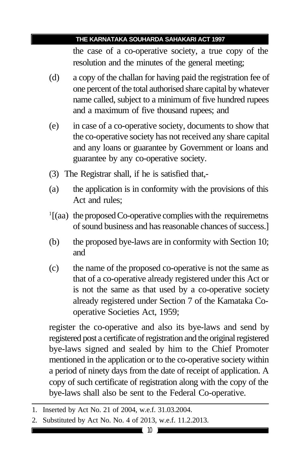the case of a co-operative society, a true copy of the resolution and the minutes of the general meeting;

- (d) a copy of the challan for having paid the registration fee of one percent of the total authorised share capital by whatever name called, subject to a minimum of five hundred rupees and a maximum of five thousand rupees; and
- (e) in case of a co-operative society, documents to show that the co-operative society has not received any share capital and any loans or guarantee by Government or loans and guarantee by any co-operative society.
- (3) The Registrar shall, if he is satisfied that,-
- (a) the application is in conformity with the provisions of this Act and rules;
- <sup>1</sup>[(aa) the proposed Co-operative complies with the requiremetns of sound business and has reasonable chances of success.]
- (b) the proposed bye-laws are in conformity with Section 10; and
- (c) the name of the proposed co-operative is not the same as that of a co-operative already registered under this Act or is not the same as that used by a co-operative society already registered under Section 7 of the Kamataka Cooperative Societies Act, 1959;

register the co-operative and also its bye-laws and send by registered post a certificate of registration and the original registered bye-laws signed and sealed by him to the Chief Promoter mentioned in the application or to the co-operative society within a period of ninety days from the date of receipt of application. A copy of such certificate of registration along with the copy of the bye-laws shall also be sent to the Federal Co-operative.

<sup>1.</sup> Inserted by Act No. 21 of 2004, w.e.f. 31.03.2004.

<sup>2.</sup> Substituted by Act No. No. 4 of 2013, w.e.f. 11.2.2013.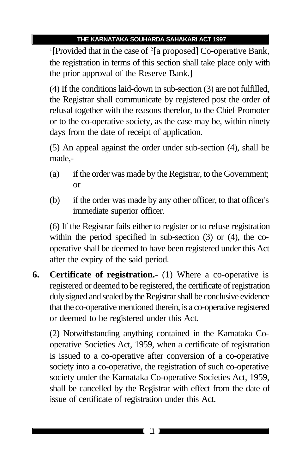<sup>1</sup>[Provided that in the case of <sup>2</sup>[a proposed] Co-operative Bank, the registration in terms of this section shall take place only with the prior approval of the Reserve Bank.]

(4) If the conditions laid-down in sub-section (3) are not fulfilled, the Registrar shall communicate by registered post the order of refusal together with the reasons therefor, to the Chief Promoter or to the co-operative society, as the case may be, within ninety days from the date of receipt of application.

(5) An appeal against the order under sub-section (4), shall be made,-

- (a) if the order was made by the Registrar, to the Government; or
- (b) if the order was made by any other officer, to that officer's immediate superior officer.

(6) If the Registrar fails either to register or to refuse registration within the period specified in sub-section (3) or (4), the cooperative shall be deemed to have been registered under this Act after the expiry of the said period.

**6. Certificate of registration.-** (1) Where a co-operative is registered or deemed to be registered, the certificate of registration duly signed and sealed by the Registrar shall be conclusive evidence that the co-operative mentioned therein, is a co-operative registered or deemed to be registered under this Act.

(2) Notwithstanding anything contained in the Kamataka Cooperative Societies Act, 1959, when a certificate of registration is issued to a co-operative after conversion of a co-operative society into a co-operative, the registration of such co-operative society under the Karnataka Co-operative Societies Act, 1959, shall be cancelled by the Registrar with effect from the date of issue of certificate of registration under this Act.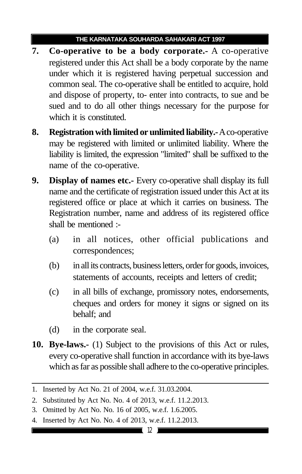- **7. Co-operative to be a body corporate.-** A co-operative registered under this Act shall be a body corporate by the name under which it is registered having perpetual succession and common seal. The co-operative shall be entitled to acquire, hold and dispose of property, to- enter into contracts, to sue and be sued and to do all other things necessary for the purpose for which it is constituted.
- **8. Registration with limited or unlimited liability.-** A co-operative may be registered with limited or unlimited liability. Where the liability is limited, the expression "limited" shall be suffixed to the name of the co-operative.
- **9. Display of names etc.-** Every co-operative shall display its full name and the certificate of registration issued under this Act at its registered office or place at which it carries on business. The Registration number, name and address of its registered office shall be mentioned :-
	- (a) in all notices, other official publications and correspondences;
	- (b) in all its contracts, business letters, order for goods, invoices, statements of accounts, receipts and letters of credit;
	- (c) in all bills of exchange, promissory notes, endorsements, cheques and orders for money it signs or signed on its behalf; and
	- (d) in the corporate seal.
- **10. Bye-laws.-** (1) Subject to the provisions of this Act or rules, every co-operative shall function in accordance with its bye-laws which as far as possible shall adhere to the co-operative principles.

4. Inserted by Act No. No. 4 of 2013, w.e.f. 11.2.2013.

<sup>1.</sup> Inserted by Act No. 21 of 2004, w.e.f. 31.03.2004.

<sup>2.</sup> Substituted by Act No. No. 4 of 2013, w.e.f. 11.2.2013.

<sup>3.</sup> Omitted by Act No. No. 16 of 2005, w.e.f. 1.6.2005.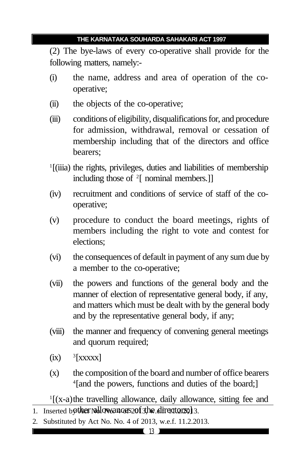(2) The bye-laws of every co-operative shall provide for the following matters, namely:-

- (i) the name, address and area of operation of the cooperative;
- (ii) the objects of the co-operative;
- (iii) conditions of eligibility, disqualifications for, and procedure for admission, withdrawal, removal or cessation of membership including that of the directors and office bearers;
- <sup>1</sup>[(iiia) the rights, privileges, duties and liabilities of membership including those of <sup>2</sup> [ nominal members.]]
- (iv) recruitment and conditions of service of staff of the cooperative;
- (v) procedure to conduct the board meetings, rights of members including the right to vote and contest for elections;
- (vi) the consequences of default in payment of any sum due by a member to the co-operative;
- (vii) the powers and functions of the general body and the manner of election of representative general body, if any, and matters which must be dealt with by the general body and by the representative general body, if any;
- (viii) the manner and frequency of convening general meetings and quorum required;
- $(ix)$  $3$ [xxxxx]
- (x) the composition of the board and number of office bearers 4 [and the powers, functions and duties of the board;]

1 [(x-a)the travelling allowance, daily allowance, sitting fee and  $\overline{1.}$  Inserted bother No. No. 2013, w.e. induces  $2013$ , alirectors;

2. Substituted by Act No. No. 4 of 2013, w.e.f. 11.2.2013.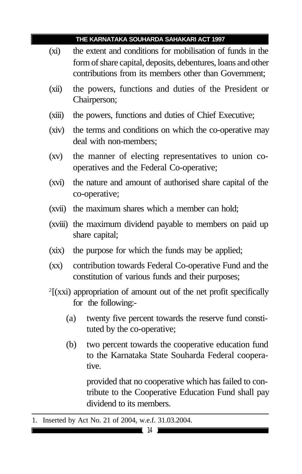- (xi) the extent and conditions for mobilisation of funds in the form of share capital, deposits, debentures, loans and other contributions from its members other than Government;
- (xii) the powers, functions and duties of the President or Chairperson;
- (xiii) the powers, functions and duties of Chief Executive;
- (xiv) the terms and conditions on which the co-operative may deal with non-members;
- (xv) the manner of electing representatives to union cooperatives and the Federal Co-operative;
- (xvi) the nature and amount of authorised share capital of the co-operative;
- (xvii) the maximum shares which a member can hold;
- (xviii) the maximum dividend payable to members on paid up share capital;
- (xix) the purpose for which the funds may be applied;
- (xx) contribution towards Federal Co-operative Fund and the constitution of various funds and their purposes;
- 2 [(xxi) appropriation of amount out of the net profit specifically for the following:-
	- (a) twenty five percent towards the reserve fund constituted by the co-operative;
	- (b) two percent towards the cooperative education fund to the Karnataka State Souharda Federal cooperative.

provided that no cooperative which has failed to contribute to the Cooperative Education Fund shall pay dividend to its members.

<sup>1.</sup> Inserted by Act No. 21 of 2004, w.e.f. 31.03.2004.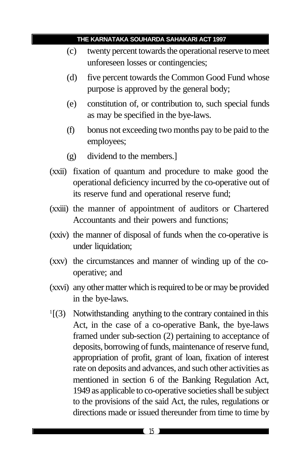- (c) twenty percent towards the operational reserve to meet unforeseen losses or contingencies;
- (d) five percent towards the Common Good Fund whose purpose is approved by the general body;
- (e) constitution of, or contribution to, such special funds as may be specified in the bye-laws.
- (f) bonus not exceeding two months pay to be paid to the employees;
- (g) dividend to the members.]
- (xxii) fixation of quantum and procedure to make good the operational deficiency incurred by the co-operative out of its reserve fund and operational reserve fund;
- (xxiii) the manner of appointment of auditors or Chartered Accountants and their powers and functions;
- (xxiv) the manner of disposal of funds when the co-operative is under liquidation;
- (xxv) the circumstances and manner of winding up of the cooperative; and
- (xxvi) any other matter which is required to be or may be provided in the bye-laws.
- 1 [(3) Notwithstanding anything to the contrary contained in this Act, in the case of a co-operative Bank, the bye-laws framed under sub-section (2) pertaining to acceptance of deposits, borrowing of funds, maintenance of reserve fund, appropriation of profit, grant of loan, fixation of interest rate on deposits and advances, and such other activities as mentioned in section 6 of the Banking Regulation Act, 1949 as applicable to co-operative societies shall be subject to the provisions of the said Act, the rules, regulations or directions made or issued thereunder from time to time by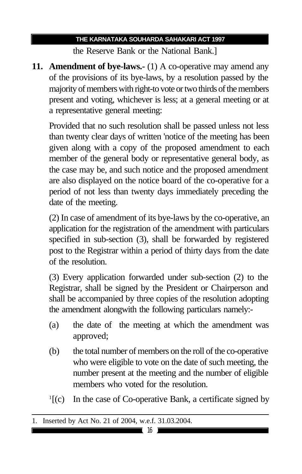the Reserve Bank or the National Bank.]

**11. Amendment of bye-laws.-** (1) A co-operative may amend any of the provisions of its bye-laws, by a resolution passed by the majority of members with right-to vote or two thirds of the members present and voting, whichever is less; at a general meeting or at a representative general meeting:

Provided that no such resolution shall be passed unless not less than twenty clear days of written 'notice of the meeting has been given along with a copy of the proposed amendment to each member of the general body or representative general body, as the case may be, and such notice and the proposed amendment are also displayed on the notice board of the co-operative for a period of not less than twenty days immediately preceding the date of the meeting.

(2) In case of amendment of its bye-laws by the co-operative, an application for the registration of the amendment with particulars specified in sub-section (3), shall be forwarded by registered post to the Registrar within a period of thirty days from the date of the resolution.

(3) Every application forwarded under sub-section (2) to the Registrar, shall be signed by the President or Chairperson and shall be accompanied by three copies of the resolution adopting the amendment alongwith the following particulars namely:-

- (a) the date of the meeting at which the amendment was approved;
- (b) the total number of members on the roll of the co-operative who were eligible to vote on the date of such meeting, the number present at the meeting and the number of eligible members who voted for the resolution.
- $\frac{1}{c}$   $\left[ (c) \right]$ In the case of Co-operative Bank, a certificate signed by

<sup>1.</sup> Inserted by Act No. 21 of 2004, w.e.f. 31.03.2004.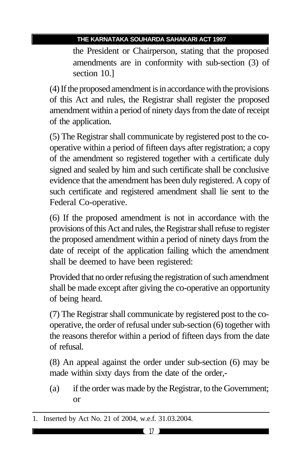the President or Chairperson, stating that the proposed amendments are in conformity with sub-section (3) of section 10.]

(4) If the proposed amendment is in accordance with the provisions of this Act and rules, the Registrar shall register the proposed amendment within a period of ninety days from the date of receipt of the application.

(5) The Registrar shall communicate by registered post to the cooperative within a period of fifteen days after registration; a copy of the amendment so registered together with a certificate duly signed and sealed by him and such certificate shall be conclusive evidence that the amendment has been duly registered. A copy of such certificate and registered amendment shall lie sent to the Federal Co-operative.

(6) If the proposed amendment is not in accordance with the provisions of this Act and rules, the Registrar shall refuse to register the proposed amendment within a period of ninety days from the date of receipt of the application failing which the amendment shall be deemed to have been registered:

Provided that no order refusing the registration of such amendment shall be made except after giving the co-operative an opportunity of being heard.

(7) The Registrar shall communicate by registered post to the cooperative, the order of refusal under sub-section (6) together with the reasons therefor within a period of fifteen days from the date of refusal.

(8) An appeal against the order under sub-section (6) may be made within sixty days from the date of the order,-

(a) if the order was made by the Registrar, to the Government; or

<sup>1.</sup> Inserted by Act No. 21 of 2004, w.e.f. 31.03.2004.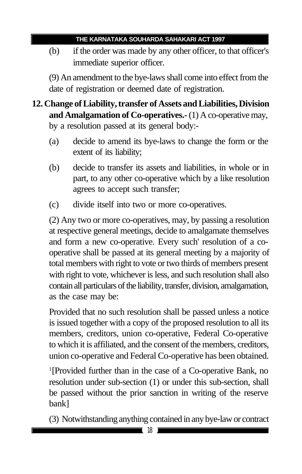(b) if the order was made by any other officer, to that officer's immediate superior officer.

(9) An amendment to the bye-laws shall come into effect from the date of registration or deemed date of registration.

#### **12. Change of Liability, transfer of Assets and Liabilities, Division and Amalgamation of Co-operatives.-** (1) A co-operative may, by a resolution passed at its general body:-

- (a) decide to amend its bye-laws to change the form or the extent of its liability;
- (b) decide to transfer its assets and liabilities, in whole or in part, to any other co-operative which by a like resolution agrees to accept such transfer;
- (c) divide itself into two or more co-operatives.

(2) Any two or more co-operatives, may, by passing a resolution at respective general meetings, decide to amalgamate themselves and form a new co-operative. Every such' resolution of a cooperative shall be passed at its general meeting by a majority of total members with right to vote or two thirds of members present with right to vote, whichever is less, and such resolution shall also contain all particulars of the liability, transfer, division, amalgamation, as the case may be:

Provided that no such resolution shall be passed unless a notice is issued together with a copy of the proposed resolution to all its members, creditors, union co-operative, Federal Co-operative to which it is affiliated, and the consent of the members, creditors, union co-operative and Federal Co-operative has been obtained.

1 [Provided further than in the case of a Co-operative Bank, no resolution under sub-section (1) or under this sub-section, shall be passed without the prior sanction in writing of the reserve bank]

(3) Notwithstanding anything contained in any bye-law or contract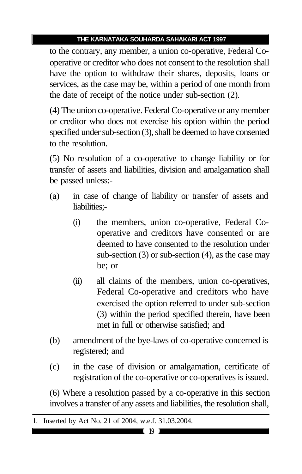to the contrary, any member, a union co-operative, Federal Cooperative or creditor who does not consent to the resolution shall have the option to withdraw their shares, deposits, loans or services, as the case may be, within a period of one month from the date of receipt of the notice under sub-section (2).

(4) The union co-operative. Federal Co-operative or any member or creditor who does not exercise his option within the period specified under sub-section (3), shall be deemed to have consented to the resolution.

(5) No resolution of a co-operative to change liability or for transfer of assets and liabilities, division and amalgamation shall be passed unless:-

- (a) in case of change of liability or transfer of assets and liabilities;-
	- (i) the members, union co-operative, Federal Cooperative and creditors have consented or are deemed to have consented to the resolution under sub-section (3) or sub-section (4), as the case may be; or
	- (ii) all claims of the members, union co-operatives, Federal Co-operative and creditors who have exercised the option referred to under sub-section (3) within the period specified therein, have been met in full or otherwise satisfied; and
- (b) amendment of the bye-laws of co-operative concerned is registered; and
- (c) in the case of division or amalgamation, certificate of registration of the co-operative or co-operatives is issued.

(6) Where a resolution passed by a co-operative in this section involves a transfer of any assets and liabilities, the resolution shall,

<sup>1.</sup> Inserted by Act No. 21 of 2004, w.e.f. 31.03.2004.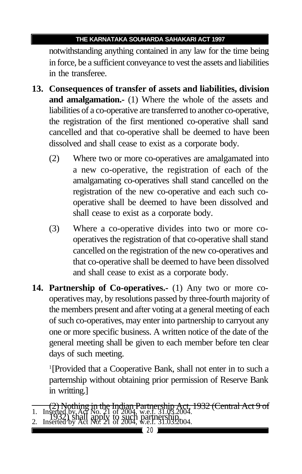notwithstanding anything contained in any law for the time being in force, be a sufficient conveyance to vest the assets and liabilities in the transferee.

- **13. Consequences of transfer of assets and liabilities, division and amalgamation.-** (1) Where the whole of the assets and liabilities of a co-operative are transferred to another co-operative, the registration of the first mentioned co-operative shall sand cancelled and that co-operative shall be deemed to have been dissolved and shall cease to exist as a corporate body.
	- (2) Where two or more co-operatives are amalgamated into a new co-operative, the registration of each of the amalgamating co-operatives shall stand cancelled on the registration of the new co-operative and each such cooperative shall be deemed to have been dissolved and shall cease to exist as a corporate body.
	- (3) Where a co-operative divides into two or more cooperatives the registration of that co-operative shall stand cancelled on the registration of the new co-operatives and that co-operative shall be deemed to have been dissolved and shall cease to exist as a corporate body.
- **14. Partnership of Co-operatives.-** (1) Any two or more cooperatives may, by resolutions passed by three-fourth majority of the members present and after voting at a general meeting of each of such co-operatives, may enter into partnership to carryout any one or more specific business. A written notice of the date of the general meeting shall be given to each member before ten clear days of such meeting.

1 [Provided that a Cooperative Bank, shall not enter in to such a parternship without obtaining prior permission of Reserve Bank in writting.]

<sup>(2)</sup> Nothing in the Indian Partnership Act, 1932 (Central Act 9 of 1. Inserted by Act No. 21 of 2004, w.e.f. 31.03.2004.<br>2. Inserted by Act No. 21 of 2004, w.e.f. 31.03.2004. 2. Inserted by Act No. 21 of 2004, w.e.f. 31.03.2004.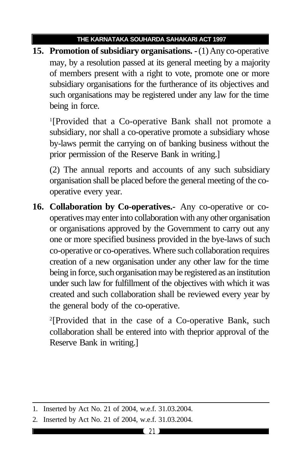**15. Promotion of subsidiary organisations. -** (1) Any co-operative may, by a resolution passed at its general meeting by a majority of members present with a right to vote, promote one or more subsidiary organisations for the furtherance of its objectives and such organisations may be registered under any law for the time being in force.

1 [Provided that a Co-operative Bank shall not promote a subsidiary, nor shall a co-operative promote a subsidiary whose by-laws permit the carrying on of banking business without the prior permission of the Reserve Bank in writing.]

(2) The annual reports and accounts of any such subsidiary organisation shall be placed before the general meeting of the cooperative every year.

**16. Collaboration by Co-operatives.-** Any co-operative or cooperatives may enter into collaboration with any other organisation or organisations approved by the Government to carry out any one or more specified business provided in the bye-laws of such co-operative or co-operatives. Where such collaboration requires creation of a new organisation under any other law for the time being in force, such organisation may be registered as an institution under such law for fulfillment of the objectives with which it was created and such collaboration shall be reviewed every year by the general body of the co-operative.

2 [Provided that in the case of a Co-operative Bank, such collaboration shall be entered into with theprior approval of the Reserve Bank in writing.]

<sup>1.</sup> Inserted by Act No. 21 of 2004, w.e.f. 31.03.2004.

<sup>2.</sup> Inserted by Act No. 21 of 2004, w.e.f. 31.03.2004.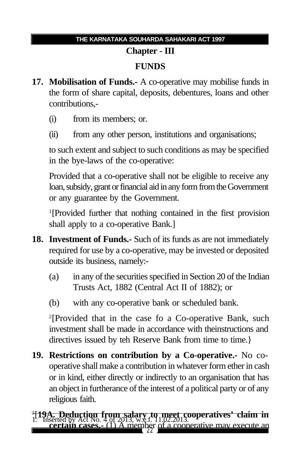### **Chapter - III FUNDS**

- **17. Mobilisation of Funds.-** A co-operative may mobilise funds in the form of share capital, deposits, debentures, loans and other contributions,-
	- (i) from its members; or.
	- (ii) from any other person, institutions and organisations;

to such extent and subject to such conditions as may be specified in the bye-laws of the co-operative:

Provided that a co-operative shall not be eligible to receive any loan, subsidy, grant or financial aid in any form from the Government or any guarantee by the Government.

1 [Provided further that nothing contained in the first provision shall apply to a co-operative Bank.]

- **18. Investment of Funds.-** Such of its funds as are not immediately required for use by a co-operative, may be invested or deposited outside its business, namely:-
	- (a) in any of the securities specified in Section 20 of the Indian Trusts Act, 1882 (Central Act II of 1882); or
	- (b) with any co-operative bank or scheduled bank.

2 [Provided that in the case fo a Co-operative Bank, such investment shall be made in accordance with theinstructions and directives issued by teh Reserve Bank from time to time.}

**19. Restrictions on contribution by a Co-operative.-** No cooperative shall make a contribution in whatever form ether in cash or in kind, either directly or indirectly to an organisation that has an object in furtherance of the interest of a political party or of any religious faith.

A member of <sup>3</sup> **[19A. Deduction from salary to meet cooperatives' claim in**<br>1. Inserted by Act No. 4 of 2013, w.e.f. 11,02.2013. **certain cases.** (1) A member of a cooperative may execute an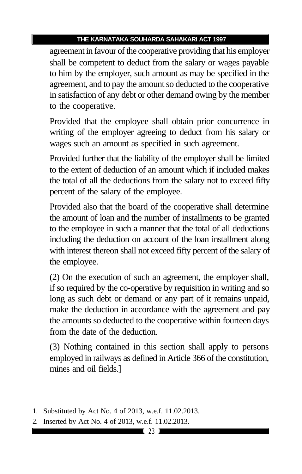agreement in favour of the cooperative providing that his employer shall be competent to deduct from the salary or wages payable to him by the employer, such amount as may be specified in the agreement, and to pay the amount so deducted to the cooperative in satisfaction of any debt or other demand owing by the member to the cooperative.

Provided that the employee shall obtain prior concurrence in writing of the employer agreeing to deduct from his salary or wages such an amount as specified in such agreement.

Provided further that the liability of the employer shall be limited to the extent of deduction of an amount which if included makes the total of all the deductions from the salary not to exceed fifty percent of the salary of the employee.

Provided also that the board of the cooperative shall determine the amount of loan and the number of installments to be granted to the employee in such a manner that the total of all deductions including the deduction on account of the loan installment along with interest thereon shall not exceed fifty percent of the salary of the employee.

(2) On the execution of such an agreement, the employer shall, if so required by the co-operative by requisition in writing and so long as such debt or demand or any part of it remains unpaid, make the deduction in accordance with the agreement and pay the amounts so deducted to the cooperative within fourteen days from the date of the deduction.

(3) Nothing contained in this section shall apply to persons employed in railways as defined in Article 366 of the constitution, mines and oil fields.]

<sup>1.</sup> Substituted by Act No. 4 of 2013, w.e.f. 11.02.2013.

<sup>2.</sup> Inserted by Act No. 4 of 2013, w.e.f. 11.02.2013.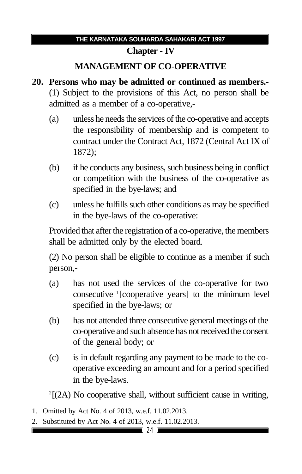#### **Chapter - IV**

#### **MANAGEMENT OF CO-OPERATIVE**

- **20. Persons who may be admitted or continued as members.-** (1) Subject to the provisions of this Act, no person shall be admitted as a member of a co-operative,-
	- (a) unless he needs the services of the co-operative and accepts the responsibility of membership and is competent to contract under the Contract Act, 1872 (Central Act IX of 1872);
	- (b) if he conducts any business, such business being in conflict or competition with the business of the co-operative as specified in the bye-laws; and
	- (c) unless he fulfills such other conditions as may be specified in the bye-laws of the co-operative:

Provided that after the registration of a co-operative, the members shall be admitted only by the elected board.

(2) No person shall be eligible to continue as a member if such person,-

- (a) has not used the services of the co-operative for two consecutive <sup>1</sup> [cooperative years] to the minimum level specified in the bye-laws; or
- (b) has not attended three consecutive general meetings of the co-operative and such absence has not received the consent of the general body; or
- (c) is in default regarding any payment to be made to the cooperative exceeding an amount and for a period specified in the bye-laws.

2 [(2A) No cooperative shall, without sufficient cause in writing,

<sup>1.</sup> Omitted by Act No. 4 of 2013, w.e.f. 11.02.2013.

<sup>2.</sup> Substituted by Act No. 4 of 2013, w.e.f. 11.02.2013.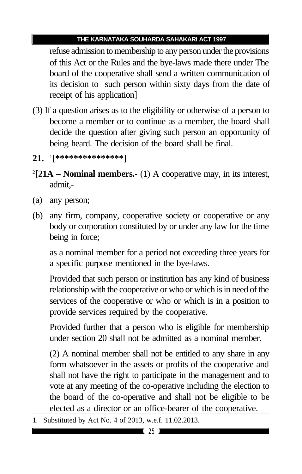refuse admission to membership to any person under the provisions of this Act or the Rules and the bye-laws made there under The board of the cooperative shall send a written communication of its decision to such person within sixty days from the date of receipt of his application]

- (3) If a question arises as to the eligibility or otherwise of a person to become a member or to continue as a member, the board shall decide the question after giving such person an opportunity of being heard. The decision of the board shall be final.
- **21.** <sup>1</sup> [**\*\*\*\*\*\*\*\*\*\*\*\*\*\*\*]**
- 2 [**21A Nominal members.-** (1) A cooperative may, in its interest, admit,-
- (a) any person;
- (b) any firm, company, cooperative society or cooperative or any body or corporation constituted by or under any law for the time being in force;

as a nominal member for a period not exceeding three years for a specific purpose mentioned in the bye-laws.

Provided that such person or institution has any kind of business relationship with the cooperative or who or which is in need of the services of the cooperative or who or which is in a position to provide services required by the cooperative.

Provided further that a person who is eligible for membership under section 20 shall not be admitted as a nominal member.

(2) A nominal member shall not be entitled to any share in any form whatsoever in the assets or profits of the cooperative and shall not have the right to participate in the management and to vote at any meeting of the co-operative including the election to the board of the co-operative and shall not be eligible to be elected as a director or an office-bearer of the cooperative.

1. Substituted by Act No. 4 of 2013, w.e.f. 11.02.2013.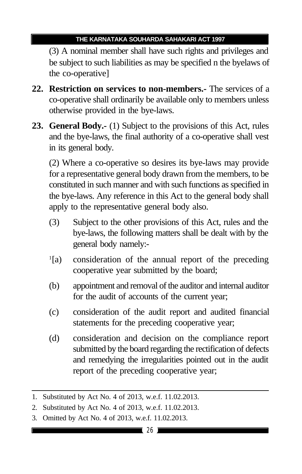(3) A nominal member shall have such rights and privileges and be subject to such liabilities as may be specified n the byelaws of the co-operative]

- **22. Restriction on services to non-members.-** The services of a co-operative shall ordinarily be available only to members unless otherwise provided in the bye-laws.
- **23. General Body.-** (1) Subject to the provisions of this Act, rules and the bye-laws, the final authority of a co-operative shall vest in its general body.

(2) Where a co-operative so desires its bye-laws may provide for a representative general body drawn from the members, to be constituted in such manner and with such functions as specified in the bye-laws. Any reference in this Act to the general body shall apply to the representative general body also.

- (3) Subject to the other provisions of this Act, rules and the bye-laws, the following matters shall be dealt with by the general body namely:-
- $\frac{1}{a}$ consideration of the annual report of the preceding cooperative year submitted by the board;
- (b) appointment and removal of the auditor and internal auditor for the audit of accounts of the current year;
- (c) consideration of the audit report and audited financial statements for the preceding cooperative year;
- (d) consideration and decision on the compliance report submitted by the board regarding the rectification of defects and remedying the irregularities pointed out in the audit report of the preceding cooperative year;

<sup>1.</sup> Substituted by Act No. 4 of 2013, w.e.f. 11.02.2013.

<sup>2.</sup> Substituted by Act No. 4 of 2013, w.e.f. 11.02.2013.

<sup>3.</sup> Omitted by Act No. 4 of 2013, w.e.f. 11.02.2013.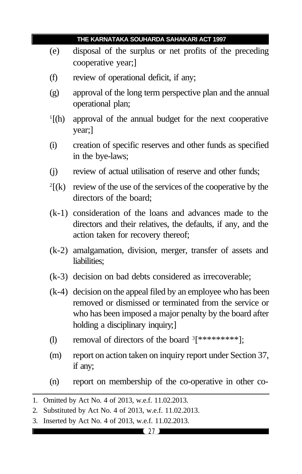|    |                                                                                                                                                                     | THE KARNATAKA SOUHARDA SAHAKARI ACT 1997                                                                                                                                                                               |
|----|---------------------------------------------------------------------------------------------------------------------------------------------------------------------|------------------------------------------------------------------------------------------------------------------------------------------------------------------------------------------------------------------------|
|    | (e)                                                                                                                                                                 | disposal of the surplus or net profits of the preceding<br>cooperative year;                                                                                                                                           |
|    | (f)                                                                                                                                                                 | review of operational deficit, if any;                                                                                                                                                                                 |
|    | (g)                                                                                                                                                                 | approval of the long term perspective plan and the annual<br>operational plan;                                                                                                                                         |
|    | $\mathbf{1}$ [(h)                                                                                                                                                   | approval of the annual budget for the next cooperative<br>year;]                                                                                                                                                       |
|    | (i)                                                                                                                                                                 | creation of specific reserves and other funds as specified<br>in the bye-laws;                                                                                                                                         |
|    | (j)                                                                                                                                                                 | review of actual utilisation of reserve and other funds;                                                                                                                                                               |
|    | $^{2}$ [(k)                                                                                                                                                         | review of the use of the services of the cooperative by the<br>directors of the board;                                                                                                                                 |
|    |                                                                                                                                                                     | (k-1) consideration of the loans and advances made to the<br>directors and their relatives, the defaults, if any, and the<br>action taken for recovery thereof;                                                        |
|    |                                                                                                                                                                     | (k-2) amalgamation, division, merger, transfer of assets and<br>liabilities;                                                                                                                                           |
|    |                                                                                                                                                                     | (k-3) decision on bad debts considered as irrecoverable;                                                                                                                                                               |
|    |                                                                                                                                                                     | (k-4) decision on the appeal filed by an employee who has been<br>removed or dismissed or terminated from the service or<br>who has been imposed a major penalty by the board after<br>holding a disciplinary inquiry; |
|    | (1)                                                                                                                                                                 | removal of directors of the board <sup>3</sup> [*********];                                                                                                                                                            |
|    | (m)                                                                                                                                                                 | report on action taken on inquiry report under Section 37,<br>if any;                                                                                                                                                  |
|    | (n)                                                                                                                                                                 | report on membership of the co-operative in other co-                                                                                                                                                                  |
| 2. | 1. Omitted by Act No. 4 of 2013, w.e.f. 11.02.2013.<br>Substituted by Act No. 4 of 2013, w.e.f. 11.02.2013.<br>3. Inserted by Act No. 4 of 2013, w.e.f. 11.02.2013. |                                                                                                                                                                                                                        |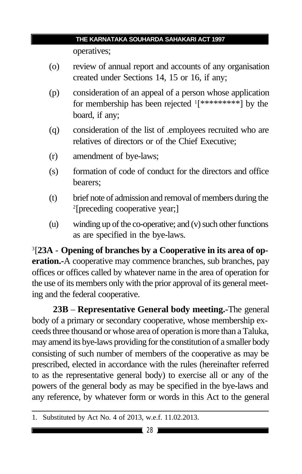operatives;

- (o) review of annual report and accounts of any organisation created under Sections 14, 15 or 16, if any;
- (p) consideration of an appeal of a person whose application for membership has been rejected <sup>1</sup>[\*\*\*\*\*\*\*\*\*\*] by the board, if any;
- (q) consideration of the list of .employees recruited who are relatives of directors or of the Chief Executive;
- (r) amendment of bye-laws;
- (s) formation of code of conduct for the directors and office bearers;
- (t) brief note of admission and removal of members during the 2 [preceding cooperative year;]
- (u) winding up of the co-operative; and (v) such other functions as are specified in the bye-laws.

3 [**23A** - **Opening of branches by a Cooperative in its area of operation.-**A cooperative may commence branches, sub branches, pay offices or offices called by whatever name in the area of operation for the use of its members only with the prior approval of its general meeting and the federal cooperative.

**23B** – **Representative General body meeting.-**The general body of a primary or secondary cooperative, whose membership exceeds three thousand or whose area of operation is more than a Taluka, may amend its bye-laws providing for the constitution of a smaller body consisting of such number of members of the cooperative as may be prescribed, elected in accordance with the rules (hereinafter referred to as the representative general body) to exercise all or any of the powers of the general body as may be specified in the bye-laws and any reference, by whatever form or words in this Act to the general

<sup>1.</sup> Substituted by Act No. 4 of 2013, w.e.f. 11.02.2013.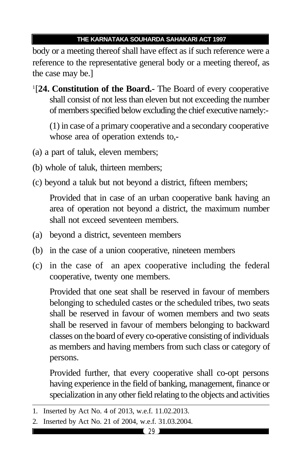body or a meeting thereof shall have effect as if such reference were a reference to the representative general body or a meeting thereof, as the case may be.]

1 [**24. Constitution of the Board.-** The Board of every cooperative shall consist of not less than eleven but not exceeding the number of members specified below excluding the chief executive namely:-

(1) in case of a primary cooperative and a secondary cooperative whose area of operation extends to,-

- (a) a part of taluk, eleven members;
- (b) whole of taluk, thirteen members;
- (c) beyond a taluk but not beyond a district, fifteen members;

Provided that in case of an urban cooperative bank having an area of operation not beyond a district, the maximum number shall not exceed seventeen members.

- (a) beyond a district, seventeen members
- (b) in the case of a union cooperative, nineteen members
- (c) in the case of an apex cooperative including the federal cooperative, twenty one members.

Provided that one seat shall be reserved in favour of members belonging to scheduled castes or the scheduled tribes, two seats shall be reserved in favour of women members and two seats shall be reserved in favour of members belonging to backward classes on the board of every co-operative consisting of individuals as members and having members from such class or category of persons.

Provided further, that every cooperative shall co-opt persons having experience in the field of banking, management, finance or specialization in any other field relating to the objects and activities

<sup>1.</sup> Inserted by Act No. 4 of 2013, w.e.f. 11.02.2013.

<sup>2.</sup> Inserted by Act No. 21 of 2004, w.e.f. 31.03.2004.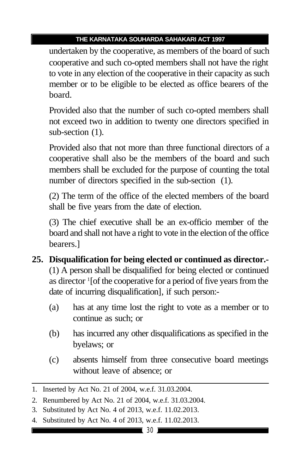undertaken by the cooperative, as members of the board of such cooperative and such co-opted members shall not have the right to vote in any election of the cooperative in their capacity as such member or to be eligible to be elected as office bearers of the board.

Provided also that the number of such co-opted members shall not exceed two in addition to twenty one directors specified in sub-section (1).

Provided also that not more than three functional directors of a cooperative shall also be the members of the board and such members shall be excluded for the purpose of counting the total number of directors specified in the sub-section (1).

(2) The term of the office of the elected members of the board shall be five years from the date of election.

(3) The chief executive shall be an ex-officio member of the board and shall not have a right to vote in the election of the office bearers.]

- **25. Disqualification for being elected or continued as director.-** (1) A person shall be disqualified for being elected or continued as director <sup>1</sup> [of the cooperative for a period of five years from the date of incurring disqualification], if such person:-
	- (a) has at any time lost the right to vote as a member or to continue as such; or
	- (b) has incurred any other disqualifications as specified in the byelaws; or
	- (c) absents himself from three consecutive board meetings without leave of absence; or

4. Substituted by Act No. 4 of 2013, w.e.f. 11.02.2013.

<sup>1.</sup> Inserted by Act No. 21 of 2004, w.e.f. 31.03.2004.

<sup>2.</sup> Renumbered by Act No. 21 of 2004, w.e.f. 31.03.2004.

<sup>3.</sup> Substituted by Act No. 4 of 2013, w.e.f. 11.02.2013.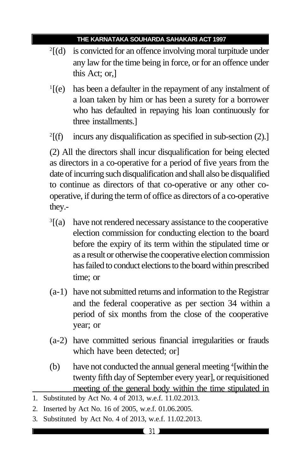- 2 [(d) is convicted for an offence involving moral turpitude under any law for the time being in force, or for an offence under this Act; or,]
- $\mathbb{I}$ [(e) has been a defaulter in the repayment of any instalment of a loan taken by him or has been a surety for a borrower who has defaulted in repaying his loan continuously for three installments.]
- $2\Gamma(f)$ incurs any disqualification as specified in sub-section (2).]

(2) All the directors shall incur disqualification for being elected as directors in a co-operative for a period of five years from the date of incurring such disqualification and shall also be disqualified to continue as directors of that co-operative or any other cooperative, if during the term of office as directors of a co-operative they.-

- $\sqrt[3]{(a)}$ have not rendered necessary assistance to the cooperative election commission for conducting election to the board before the expiry of its term within the stipulated time or as a result or otherwise the cooperative election commission has failed to conduct elections to the board within prescribed time; or
- (a-1) have not submitted returns and information to the Registrar and the federal cooperative as per section 34 within a period of six months from the close of the cooperative year; or
- (a-2) have committed serious financial irregularities or frauds which have been detected; or]
- (b) have not conducted the annual general meeting <sup>4</sup>[within the twenty fifth day of September every year], or requisitioned meeting of the general body within the time stipulated in
- 1. Substituted by Act No. 4 of 2013, w.e.f. 11.02.2013.
- 2. Inserted by Act No. 16 of 2005, w.e.f. 01.06.2005.
- 3. Substituted by Act No. 4 of 2013, w.e.f. 11.02.2013.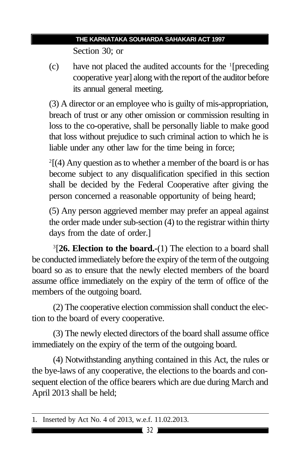Section 30; or

(c) have not placed the audited accounts for the <sup>1</sup> [preceding cooperative year] along with the report of the auditor before its annual general meeting.

(3) A director or an employee who is guilty of mis-appropriation, breach of trust or any other omission or commission resulting in loss to the co-operative, shall be personally liable to make good that loss without prejudice to such criminal action to which he is liable under any other law for the time being in force;

 $2[(4)$  Any question as to whether a member of the board is or has become subject to any disqualification specified in this section shall be decided by the Federal Cooperative after giving the person concerned a reasonable opportunity of being heard;

(5) Any person aggrieved member may prefer an appeal against the order made under sub-section (4) to the registrar within thirty days from the date of order.]

3 [**26. Election to the board.-**(1) The election to a board shall be conducted immediately before the expiry of the term of the outgoing board so as to ensure that the newly elected members of the board assume office immediately on the expiry of the term of office of the members of the outgoing board.

(2) The cooperative election commission shall conduct the election to the board of every cooperative.

(3) The newly elected directors of the board shall assume office immediately on the expiry of the term of the outgoing board.

(4) Notwithstanding anything contained in this Act, the rules or the bye-laws of any cooperative, the elections to the boards and consequent election of the office bearers which are due during March and April 2013 shall be held;

<sup>1.</sup> Inserted by Act No. 4 of 2013, w.e.f. 11.02.2013.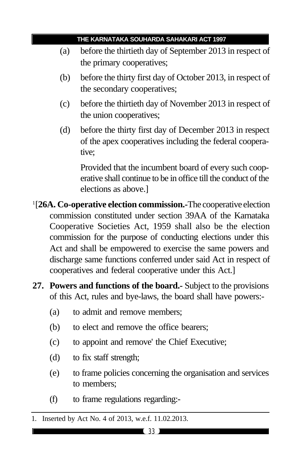- (a) before the thirtieth day of September 2013 in respect of the primary cooperatives;
- (b) before the thirty first day of October 2013, in respect of the secondary cooperatives;
- (c) before the thirtieth day of November 2013 in respect of the union cooperatives;
- (d) before the thirty first day of December 2013 in respect of the apex cooperatives including the federal cooperative;

Provided that the incumbent board of every such cooperative shall continue to be in office till the conduct of the elections as above.]

1 [**26A. Co-operative election commission.-**The cooperative election commission constituted under section 39AA of the Karnataka Cooperative Societies Act, 1959 shall also be the election commission for the purpose of conducting elections under this Act and shall be empowered to exercise the same powers and discharge same functions conferred under said Act in respect of cooperatives and federal cooperative under this Act.]

- **27. Powers and functions of the board.-** Subject to the provisions of this Act, rules and bye-laws, the board shall have powers:-
	- (a) to admit and remove members;
	- (b) to elect and remove the office bearers;
	- (c) to appoint and remove' the Chief Executive;
	- (d) to fix staff strength;
	- (e) to frame policies concerning the organisation and services to members;
	- (f) to frame regulations regarding:-

<sup>1.</sup> Inserted by Act No. 4 of 2013, w.e.f. 11.02.2013.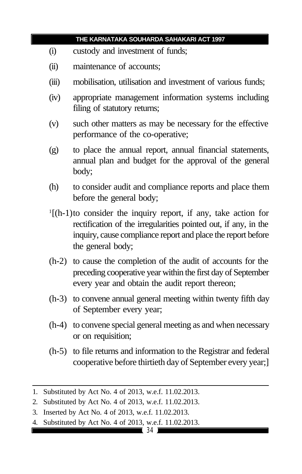- (i) custody and investment of funds;
- (ii) maintenance of accounts;
- (iii) mobilisation, utilisation and investment of various funds;
- (iv) appropriate management information systems including filing of statutory returns;
- (v) such other matters as may be necessary for the effective performance of the co-operative;
- (g) to place the annual report, annual financial statements, annual plan and budget for the approval of the general body;
- (h) to consider audit and compliance reports and place them before the general body;
- 1 [(h-1)to consider the inquiry report, if any, take action for rectification of the irregularities pointed out, if any, in the inquiry, cause compliance report and place the report before the general body;
- (h-2) to cause the completion of the audit of accounts for the preceding cooperative year within the first day of September every year and obtain the audit report thereon;
- (h-3) to convene annual general meeting within twenty fifth day of September every year;
- (h-4) to convene special general meeting as and when necessary or on requisition;
- (h-5) to file returns and information to the Registrar and federal cooperative before thirtieth day of September every year;]

<sup>1.</sup> Substituted by Act No. 4 of 2013, w.e.f. 11.02.2013.

<sup>2.</sup> Substituted by Act No. 4 of 2013, w.e.f. 11.02.2013.

<sup>3.</sup> Inserted by Act No. 4 of 2013, w.e.f. 11.02.2013.

<sup>4.</sup> Substituted by Act No. 4 of 2013, w.e.f. 11.02.2013.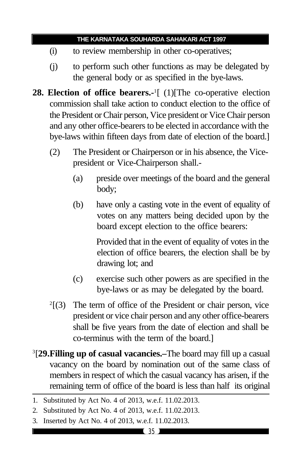- (i) to review membership in other co-operatives;
- (j) to perform such other functions as may be delegated by the general body or as specified in the bye-laws.
- **28. Election of office bearers.-**<sup>1</sup> [ (1)[The co-operative election commission shall take action to conduct election to the office of the President or Chair person, Vice president or Vice Chair person and any other office-bearers to be elected in accordance with the bye-laws within fifteen days from date of election of the board.]
	- (2) The President or Chairperson or in his absence, the Vicepresident or Vice-Chairperson shall.-
		- (a) preside over meetings of the board and the general body;
		- (b) have only a casting vote in the event of equality of votes on any matters being decided upon by the board except election to the office bearers:

Provided that in the event of equality of votes in the election of office bearers, the election shall be by drawing lot; and

- (c) exercise such other powers as are specified in the bye-laws or as may be delegated by the board.
- $2[3]$  The term of office of the President or chair person, vice president or vice chair person and any other office-bearers shall be five years from the date of election and shall be co-terminus with the term of the board.]
- 3 [**29.Filling up of casual vacancies.–**The board may fill up a casual vacancy on the board by nomination out of the same class of members in respect of which the casual vacancy has arisen, if the remaining term of office of the board is less than half its original

3. Inserted by Act No. 4 of 2013, w.e.f. 11.02.2013.

<sup>1.</sup> Substituted by Act No. 4 of 2013, w.e.f. 11.02.2013.

<sup>2.</sup> Substituted by Act No. 4 of 2013, w.e.f. 11.02.2013.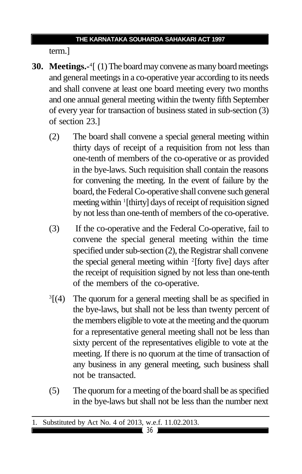term.]

- **30. Meetings.-**<sup>4</sup> [ (1) The board may convene as many board meetings and general meetings in a co-operative year according to its needs and shall convene at least one board meeting every two months and one annual general meeting within the twenty fifth September of every year for transaction of business stated in sub-section (3) of section 23.]
	- (2) The board shall convene a special general meeting within thirty days of receipt of a requisition from not less than one-tenth of members of the co-operative or as provided in the bye-laws. Such requisition shall contain the reasons for convening the meeting. In the event of failure by the board, the Federal Co-operative shall convene such general meeting within <sup>1</sup> [thirty] days of receipt of requisition signed by not less than one-tenth of members of the co-operative.
	- (3) If the co-operative and the Federal Co-operative, fail to convene the special general meeting within the time specified under sub-section (2), the Registrar shall convene the special general meeting within <sup>2</sup>[forty five] days after the receipt of requisition signed by not less than one-tenth of the members of the co-operative.
	- $\sqrt[3]{(4)}$ The quorum for a general meeting shall be as specified in the bye-laws, but shall not be less than twenty percent of the members eligible to vote at the meeting and the quorum for a representative general meeting shall not be less than sixty percent of the representatives eligible to vote at the meeting. If there is no quorum at the time of transaction of any business in any general meeting, such business shall not be transacted.
	- (5) The quorum for a meeting of the board shall be as specified in the bye-laws but shall not be less than the number next

<sup>1.</sup> Substituted by Act No. 4 of 2013, w.e.f. 11.02.2013.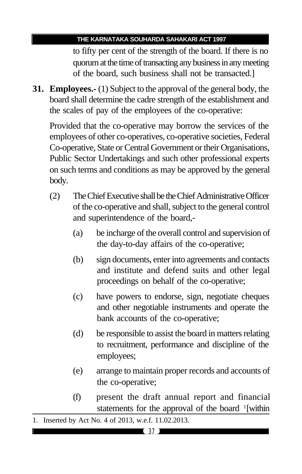to fifty per cent of the strength of the board. If there is no quorum at the time of transacting any business in any meeting of the board, such business shall not be transacted.]

**31. Employees.-** (1) Subject to the approval of the general body, the board shall determine the cadre strength of the establishment and the scales of pay of the employees of the co-operative:

Provided that the co-operative may borrow the services of the employees of other co-operatives, co-operative societies, Federal Co-operative, State or Central Government or their Organisations, Public Sector Undertakings and such other professional experts on such terms and conditions as may be approved by the general body.

- (2) The Chief Executive shall be the Chief Administrative Officer of the co-operative and shall, subject to the general control and superintendence of the board,-
	- (a) be incharge of the overall control and supervision of the day-to-day affairs of the co-operative;
	- (b) sign documents, enter into agreements and contacts and institute and defend suits and other legal proceedings on behalf of the co-operative;
	- (c) have powers to endorse, sign, negotiate cheques and other negotiable instruments and operate the bank accounts of the co-operative;
	- (d) be responsible to assist the board in matters relating to recruitment, performance and discipline of the employees;
	- (e) arrange to maintain proper records and accounts of the co-operative;
	- (f) present the draft annual report and financial statements for the approval of the board <sup>1</sup>[within

<sup>1.</sup> Inserted by Act No. 4 of 2013, w.e.f. 11.02.2013.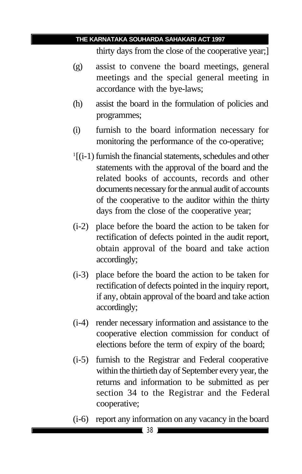thirty days from the close of the cooperative year;]

- (g) assist to convene the board meetings, general meetings and the special general meeting in accordance with the bye-laws;
- (h) assist the board in the formulation of policies and programmes;
- (i) furnish to the board information necessary for monitoring the performance of the co-operative;
- 1 [(i-1) furnish the financial statements, schedules and other statements with the approval of the board and the related books of accounts, records and other documents necessary for the annual audit of accounts of the cooperative to the auditor within the thirty days from the close of the cooperative year;
- (i-2) place before the board the action to be taken for rectification of defects pointed in the audit report, obtain approval of the board and take action accordingly;
- (i-3) place before the board the action to be taken for rectification of defects pointed in the inquiry report, if any, obtain approval of the board and take action accordingly;
- (i-4) render necessary information and assistance to the cooperative election commission for conduct of elections before the term of expiry of the board;
- (i-5) furnish to the Registrar and Federal cooperative within the thirtieth day of September every year, the returns and information to be submitted as per section 34 to the Registrar and the Federal cooperative;
- (i-6) report any information on any vacancy in the board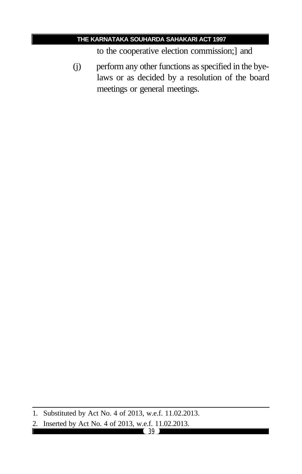to the cooperative election commission;] and

(j) perform any other functions as specified in the byelaws or as decided by a resolution of the board meetings or general meetings.

<sup>1.</sup> Substituted by Act No. 4 of 2013, w.e.f. 11.02.2013.

<sup>2.</sup> Inserted by Act No. 4 of 2013, w.e.f. 11.02.2013.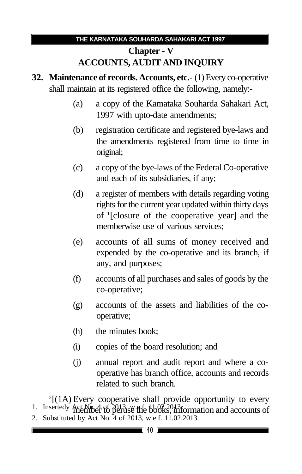# **Chapter - V ACCOUNTS, AUDIT AND INQUIRY**

- **32. Maintenance of records. Accounts, etc.-** (1) Every co-operative shall maintain at its registered office the following, namely:-
	- (a) a copy of the Kamataka Souharda Sahakari Act, 1997 with upto-date amendments;
	- (b) registration certificate and registered bye-laws and the amendments registered from time to time in original;
	- (c) a copy of the bye-laws of the Federal Co-operative and each of its subsidiaries, if any;
	- (d) a register of members with details regarding voting rights for the current year updated within thirty days of <sup>1</sup> [closure of the cooperative year] and the memberwise use of various services;
	- (e) accounts of all sums of money received and expended by the co-operative and its branch, if any, and purposes;
	- (f) accounts of all purchases and sales of goods by the co-operative;
	- (g) accounts of the assets and liabilities of the cooperative;
	- (h) the minutes book;
	- (i) copies of the board resolution; and
	- (j) annual report and audit report and where a cooperative has branch office, accounts and records related to such branch.

2 [(1A) Every cooperative shall provide opportunity to every 1. Insertedy Act No. 4 of 2013, w. The books, information and accounts of

2. Substituted by Act No. 4 of 2013, w.e.f. 11.02.2013.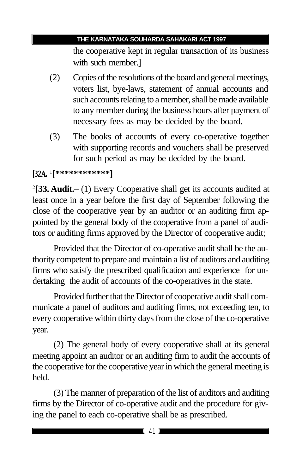the cooperative kept in regular transaction of its business with such member.]

- (2) Copies of the resolutions of the board and general meetings, voters list, bye-laws, statement of annual accounts and such accounts relating to a member, shall be made available to any member during the business hours after payment of necessary fees as may be decided by the board.
- (3) The books of accounts of every co-operative together with supporting records and vouchers shall be preserved for such period as may be decided by the board.

# **[32A.** <sup>1</sup> [**\*\*\*\*\*\*\*\*\*\*\*\*]**

2 [**33. Audit.**– (1) Every Cooperative shall get its accounts audited at least once in a year before the first day of September following the close of the cooperative year by an auditor or an auditing firm appointed by the general body of the cooperative from a panel of auditors or auditing firms approved by the Director of cooperative audit;

Provided that the Director of co-operative audit shall be the authority competent to prepare and maintain a list of auditors and auditing firms who satisfy the prescribed qualification and experience for undertaking the audit of accounts of the co-operatives in the state.

Provided further that the Director of cooperative audit shall communicate a panel of auditors and auditing firms, not exceeding ten, to every cooperative within thirty days from the close of the co-operative year.

(2) The general body of every cooperative shall at its general meeting appoint an auditor or an auditing firm to audit the accounts of the cooperative for the cooperative year in which the general meeting is held.

(3) The manner of preparation of the list of auditors and auditing firms by the Director of co-operative audit and the procedure for giving the panel to each co-operative shall be as prescribed.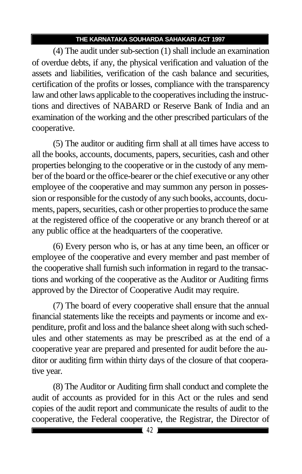(4) The audit under sub-section (1) shall include an examination of overdue debts, if any, the physical verification and valuation of the assets and liabilities, verification of the cash balance and securities, certification of the profits or losses, compliance with the transparency law and other laws applicable to the cooperatives including the instructions and directives of NABARD or Reserve Bank of India and an examination of the working and the other prescribed particulars of the cooperative.

(5) The auditor or auditing firm shall at all times have access to all the books, accounts, documents, papers, securities, cash and other properties belonging to the cooperative or in the custody of any member of the board or the office-bearer or the chief executive or any other employee of the cooperative and may summon any person in possession or responsible for the custody of any such books, accounts, documents, papers, securities, cash or other properties to produce the same at the registered office of the cooperative or any branch thereof or at any public office at the headquarters of the cooperative.

(6) Every person who is, or has at any time been, an officer or employee of the cooperative and every member and past member of the cooperative shall furnish such information in regard to the transactions and working of the cooperative as the Auditor or Auditing firms approved by the Director of Cooperative Audit may require.

(7) The board of every cooperative shall ensure that the annual financial statements like the receipts and payments or income and expenditure, profit and loss and the balance sheet along with such schedules and other statements as may be prescribed as at the end of a cooperative year are prepared and presented for audit before the auditor or auditing firm within thirty days of the closure of that cooperative year.

(8) The Auditor or Auditing firm shall conduct and complete the audit of accounts as provided for in this Act or the rules and send copies of the audit report and communicate the results of audit to the cooperative, the Federal cooperative, the Registrar, the Director of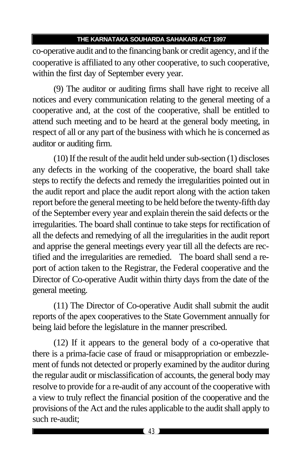co-operative audit and to the financing bank or credit agency, and if the cooperative is affiliated to any other cooperative, to such cooperative, within the first day of September every year.

(9) The auditor or auditing firms shall have right to receive all notices and every communication relating to the general meeting of a cooperative and, at the cost of the cooperative, shall be entitled to attend such meeting and to be heard at the general body meeting, in respect of all or any part of the business with which he is concerned as auditor or auditing firm.

(10) If the result of the audit held under sub-section (1) discloses any defects in the working of the cooperative, the board shall take steps to rectify the defects and remedy the irregularities pointed out in the audit report and place the audit report along with the action taken report before the general meeting to be held before the twenty-fifth day of the September every year and explain therein the said defects or the irregularities. The board shall continue to take steps for rectification of all the defects and remedying of all the irregularities in the audit report and apprise the general meetings every year till all the defects are rectified and the irregularities are remedied. The board shall send a report of action taken to the Registrar, the Federal cooperative and the Director of Co-operative Audit within thirty days from the date of the general meeting.

(11) The Director of Co-operative Audit shall submit the audit reports of the apex cooperatives to the State Government annually for being laid before the legislature in the manner prescribed.

(12) If it appears to the general body of a co-operative that there is a prima-facie case of fraud or misappropriation or embezzlement of funds not detected or properly examined by the auditor during the regular audit or misclassification of accounts, the general body may resolve to provide for a re-audit of any account of the cooperative with a view to truly reflect the financial position of the cooperative and the provisions of the Act and the rules applicable to the audit shall apply to such re-audit;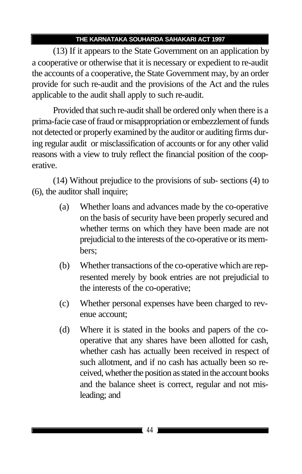(13) If it appears to the State Government on an application by a cooperative or otherwise that it is necessary or expedient to re-audit the accounts of a cooperative, the State Government may, by an order provide for such re-audit and the provisions of the Act and the rules applicable to the audit shall apply to such re-audit.

Provided that such re-audit shall be ordered only when there is a prima-facie case of fraud or misappropriation or embezzlement of funds not detected or properly examined by the auditor or auditing firms during regular audit or misclassification of accounts or for any other valid reasons with a view to truly reflect the financial position of the cooperative.

(14) Without prejudice to the provisions of sub- sections (4) to (6), the auditor shall inquire;

- (a) Whether loans and advances made by the co-operative on the basis of security have been properly secured and whether terms on which they have been made are not prejudicial to the interests of the co-operative or its members;
- (b) Whether transactions of the co-operative which are represented merely by book entries are not prejudicial to the interests of the co-operative;
- (c) Whether personal expenses have been charged to revenue account;
- (d) Where it is stated in the books and papers of the cooperative that any shares have been allotted for cash, whether cash has actually been received in respect of such allotment, and if no cash has actually been so received, whether the position as stated in the account books and the balance sheet is correct, regular and not misleading; and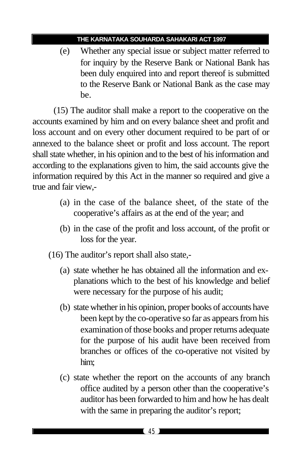(e) Whether any special issue or subject matter referred to for inquiry by the Reserve Bank or National Bank has been duly enquired into and report thereof is submitted to the Reserve Bank or National Bank as the case may be.

(15) The auditor shall make a report to the cooperative on the accounts examined by him and on every balance sheet and profit and loss account and on every other document required to be part of or annexed to the balance sheet or profit and loss account. The report shall state whether, in his opinion and to the best of his information and according to the explanations given to him, the said accounts give the information required by this Act in the manner so required and give a true and fair view,-

- (a) in the case of the balance sheet, of the state of the cooperative's affairs as at the end of the year; and
- (b) in the case of the profit and loss account, of the profit or loss for the year.
- (16) The auditor's report shall also state,-
	- (a) state whether he has obtained all the information and explanations which to the best of his knowledge and belief were necessary for the purpose of his audit;
	- (b) state whether in his opinion, proper books of accounts have been kept by the co-operative so far as appears from his examination of those books and proper returns adequate for the purpose of his audit have been received from branches or offices of the co-operative not visited by him;
	- (c) state whether the report on the accounts of any branch office audited by a person other than the cooperative's auditor has been forwarded to him and how he has dealt with the same in preparing the auditor's report;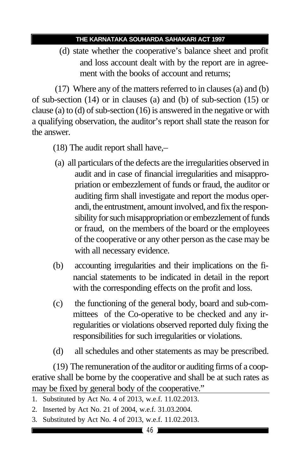(d) state whether the cooperative's balance sheet and profit and loss account dealt with by the report are in agreement with the books of account and returns;

 (17) Where any of the matters referred to in clauses (a) and (b) of sub-section (14) or in clauses (a) and (b) of sub-section (15) or clause (a) to (d) of sub-section (16) is answered in the negative or with a qualifying observation, the auditor's report shall state the reason for the answer.

- (18) The audit report shall have,–
- (a) all particulars of the defects are the irregularities observed in audit and in case of financial irregularities and misappropriation or embezzlement of funds or fraud, the auditor or auditing firm shall investigate and report the modus operandi, the entrustment, amount involved, and fix the responsibility for such misappropriation or embezzlement of funds or fraud, on the members of the board or the employees of the cooperative or any other person as the case may be with all necessary evidence.
- (b) accounting irregularities and their implications on the financial statements to be indicated in detail in the report with the corresponding effects on the profit and loss.
- (c) the functioning of the general body, board and sub-committees of the Co-operative to be checked and any irregularities or violations observed reported duly fixing the responsibilities for such irregularities or violations.
- (d) all schedules and other statements as may be prescribed.

(19) The remuneration of the auditor or auditing firms of a cooperative shall be borne by the cooperative and shall be at such rates as may be fixed by general body of the cooperative."

- 1. Substituted by Act No. 4 of 2013, w.e.f. 11.02.2013.
- 2. Inserted by Act No. 21 of 2004, w.e.f. 31.03.2004.
- 3. Substituted by Act No. 4 of 2013, w.e.f. 11.02.2013.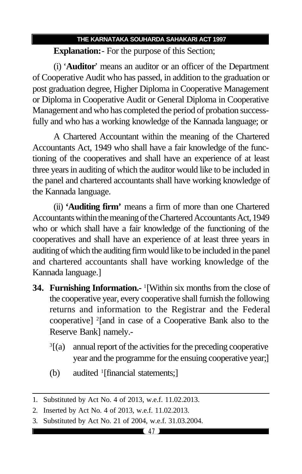**Explanation:**- For the purpose of this Section;

(i) '**Auditor**' means an auditor or an officer of the Department of Cooperative Audit who has passed, in addition to the graduation or post graduation degree, Higher Diploma in Cooperative Management or Diploma in Cooperative Audit or General Diploma in Cooperative Management and who has completed the period of probation successfully and who has a working knowledge of the Kannada language; or

A Chartered Accountant within the meaning of the Chartered Accountants Act, 1949 who shall have a fair knowledge of the functioning of the cooperatives and shall have an experience of at least three years in auditing of which the auditor would like to be included in the panel and chartered accountants shall have working knowledge of the Kannada language.

(ii) **'Auditing firm'** means a firm of more than one Chartered Accountants within the meaning of the Chartered Accountants Act, 1949 who or which shall have a fair knowledge of the functioning of the cooperatives and shall have an experience of at least three years in auditing of which the auditing firm would like to be included in the panel and chartered accountants shall have working knowledge of the Kannada language.]

- **34. Furnishing Information.-** <sup>1</sup> [Within six months from the close of the cooperative year, every cooperative shall furnish the following returns and information to the Registrar and the Federal cooperative] <sup>2</sup> [and in case of a Cooperative Bank also to the Reserve Bank] namely.-
	- $\sqrt[3]{(a)}$ [(a) annual report of the activities for the preceding cooperative year and the programme for the ensuing cooperative year;]
	- (b) audited <sup>1</sup>[financial statements;]

<sup>1.</sup> Substituted by Act No. 4 of 2013, w.e.f. 11.02.2013.

<sup>2.</sup> Inserted by Act No. 4 of 2013, w.e.f. 11.02.2013.

<sup>3.</sup> Substituted by Act No. 21 of 2004, w.e.f. 31.03.2004.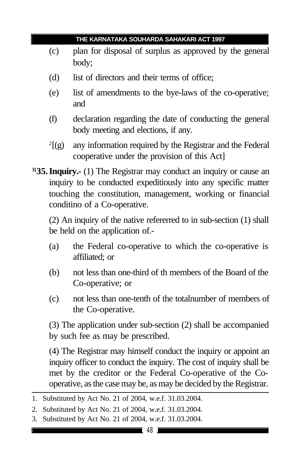- (c) plan for disposal of surplus as approved by the general body;
- (d) list of directors and their terms of office;
- (e) list of amendments to the bye-laws of the co-operative; and
- (f) declaration regarding the date of conducting the general body meeting and elections, if any.
- $^{2}[(g)]$ any information required by the Registrar and the Federal cooperative under the provision of this Act]
- **3[35.Inquiry.-** (1) The Registrar may conduct an inquiry or cause an inquiry to be conducted expeditiously into any specific matter touching the constitution, management, working or financial conditino of a Co-operative.

(2) An inquiry of the native refererred to in sub-section (1) shall be held on the application of.-

- (a) the Federal co-operative to which the co-operative is affiliated; or
- (b) not less than one-third of th members of the Board of the Co-operative; or
- (c) not less than one-tenth of the totalnumber of members of the Co-operative.

(3) The application under sub-section (2) shall be accompanied by such fee as may be prescribed.

(4) The Registrar may himself conduct the inquiry or appoint an inquiry officer to conduct the inquiry. The cost of inquiry shall be met by the creditor or the Federal Co-operative of the Cooperative, as the case may be, as may be decided by the Registrar.

3. Substituted by Act No. 21 of 2004, w.e.f. 31.03.2004.

<sup>1.</sup> Substituted by Act No. 21 of 2004, w.e.f. 31.03.2004.

<sup>2.</sup> Substituted by Act No. 21 of 2004, w.e.f. 31.03.2004.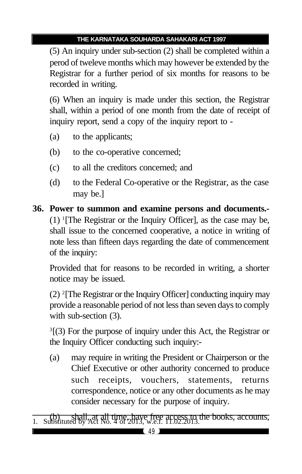(5) An inquiry under sub-section (2) shall be completed within a perod of tweleve months which may however be extended by the Registrar for a further period of six months for reasons to be recorded in writing.

(6) When an inquiry is made under this section, the Registrar shall, within a period of one month from the date of receipt of inquiry report, send a copy of the inquiry report to -

- (a) to the applicants;
- (b) to the co-operative concerned;
- (c) to all the creditors concerned; and
- (d) to the Federal Co-operative or the Registrar, as the case may be.]

**36. Power to summon and examine persons and documents.-** (1) <sup>1</sup> [The Registrar or the Inquiry Officer], as the case may be, shall issue to the concerned cooperative, a notice in writing of note less than fifteen days regarding the date of commencement of the inquiry:

Provided that for reasons to be recorded in writing, a shorter notice may be issued.

(2) <sup>2</sup> [The Registrar or the Inquiry Officer] conducting inquiry may provide a reasonable period of not less than seven days to comply with sub-section  $(3)$ .

3 [(3) For the purpose of inquiry under this Act, the Registrar or the Inquiry Officer conducting such inquiry:-

(a) may require in writing the President or Chairperson or the Chief Executive or other authority concerned to produce such receipts, vouchers, statements, returns correspondence, notice or any other documents as he may consider necessary for the purpose of inquiry.

(b) shall, at all time, have free access to the books, accounts, 1. Substituted by Act No. 4 of 2013, w.e.f. 11.02.2013.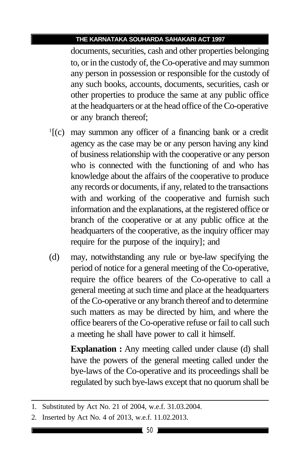documents, securities, cash and other properties belonging to, or in the custody of, the Co-operative and may summon any person in possession or responsible for the custody of any such books, accounts, documents, securities, cash or other properties to produce the same at any public office at the headquarters or at the head office of the Co-operative or any branch thereof;

- 1 [(c) may summon any officer of a financing bank or a credit agency as the case may be or any person having any kind of business relationship with the cooperative or any person who is connected with the functioning of and who has knowledge about the affairs of the cooperative to produce any records or documents, if any, related to the transactions with and working of the cooperative and furnish such information and the explanations, at the registered office or branch of the cooperative or at any public office at the headquarters of the cooperative, as the inquiry officer may require for the purpose of the inquiry]; and
- (d) may, notwithstanding any rule or bye-law specifying the period of notice for a general meeting of the Co-operative, require the office bearers of the Co-operative to call a general meeting at such time and place at the headquarters of the Co-operative or any branch thereof and to determine such matters as may be directed by him, and where the office bearers of the Co-operative refuse or fail to call such a meeting he shall have power to call it himself.

**Explanation :** Any meeting called under clause (d) shall have the powers of the general meeting called under the bye-laws of the Co-operative and its proceedings shall be regulated by such bye-laws except that no quorum shall be

<sup>1.</sup> Substituted by Act No. 21 of 2004, w.e.f. 31.03.2004.

<sup>2.</sup> Inserted by Act No. 4 of 2013, w.e.f. 11.02.2013.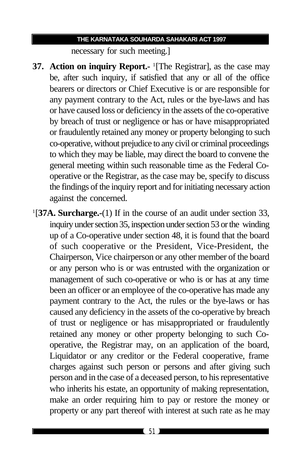necessary for such meeting.]

- **37. Action on inquiry Report.** <sup>1</sup>[The Registrar], as the case may be, after such inquiry, if satisfied that any or all of the office bearers or directors or Chief Executive is or are responsible for any payment contrary to the Act, rules or the bye-laws and has or have caused loss or deficiency in the assets of the co-operative by breach of trust or negligence or has or have misappropriated or fraudulently retained any money or property belonging to such co-operative, without prejudice to any civil or criminal proceedings to which they may be liable, may direct the board to convene the general meeting within such reasonable time as the Federal Cooperative or the Registrar, as the case may be, specify to discuss the findings of the inquiry report and for initiating necessary action against the concerned.
- 1 [**37A. Surcharge.-**(1) If in the course of an audit under section 33, inquiry under section 35, inspection under section 53 or the winding up of a Co-operative under section 48, it is found that the board of such cooperative or the President, Vice-President, the Chairperson, Vice chairperson or any other member of the board or any person who is or was entrusted with the organization or management of such co-operative or who is or has at any time been an officer or an employee of the co-operative has made any payment contrary to the Act, the rules or the bye-laws or has caused any deficiency in the assets of the co-operative by breach of trust or negligence or has misappropriated or fraudulently retained any money or other property belonging to such Cooperative, the Registrar may, on an application of the board, Liquidator or any creditor or the Federal cooperative, frame charges against such person or persons and after giving such person and in the case of a deceased person, to his representative who inherits his estate, an opportunity of making representation, make an order requiring him to pay or restore the money or property or any part thereof with interest at such rate as he may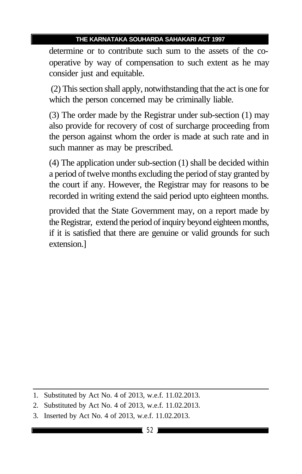determine or to contribute such sum to the assets of the cooperative by way of compensation to such extent as he may consider just and equitable.

 (2) This section shall apply, notwithstanding that the act is one for which the person concerned may be criminally liable.

(3) The order made by the Registrar under sub-section (1) may also provide for recovery of cost of surcharge proceeding from the person against whom the order is made at such rate and in such manner as may be prescribed.

(4) The application under sub-section (1) shall be decided within a period of twelve months excluding the period of stay granted by the court if any. However, the Registrar may for reasons to be recorded in writing extend the said period upto eighteen months.

provided that the State Government may, on a report made by the Registrar, extend the period of inquiry beyond eighteen months, if it is satisfied that there are genuine or valid grounds for such extension.]

<sup>1.</sup> Substituted by Act No. 4 of 2013, w.e.f. 11.02.2013.

<sup>2.</sup> Substituted by Act No. 4 of 2013, w.e.f. 11.02.2013.

<sup>3.</sup> Inserted by Act No. 4 of 2013, w.e.f. 11.02.2013.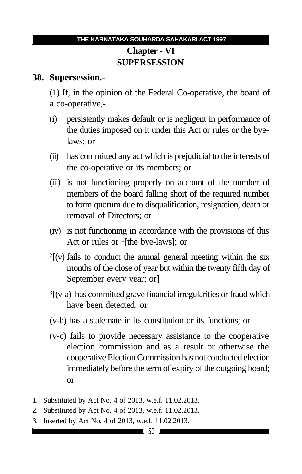# **Chapter - VI SUPERSESSION**

#### **38. Supersession.-**

(1) If, in the opinion of the Federal Co-operative, the board of a co-operative,-

- (i) persistently makes default or is negligent in performance of the duties imposed on it under this Act or rules or the byelaws; or
- (ii) has committed any act which is prejudicial to the interests of the co-operative or its members; or
- (iii) is not functioning properly on account of the number of members of the board falling short of the required number to form quorum due to disqualification, resignation, death or removal of Directors; or
- (iv) is not functioning in accordance with the provisions of this Act or rules or  $\frac{1}{1}$  [the bye-laws]; or
- $2^2$ [(v) fails to conduct the annual general meeting within the six months of the close of year but within the twenty fifth day of September every year; or]
- <sup>3</sup>[(v-a) has committed grave financial irregularities or fraud which have been detected; or
- (v-b) has a stalemate in its constitution or its functions; or
- (v-c) fails to provide necessary assistance to the cooperative election commission and as a result or otherwise the cooperative Election Commission has not conducted election immediately before the term of expiry of the outgoing board; or
- 1. Substituted by Act No. 4 of 2013, w.e.f. 11.02.2013.

3. Inserted by Act No. 4 of 2013, w.e.f. 11.02.2013.

<sup>2.</sup> Substituted by Act No. 4 of 2013, w.e.f. 11.02.2013.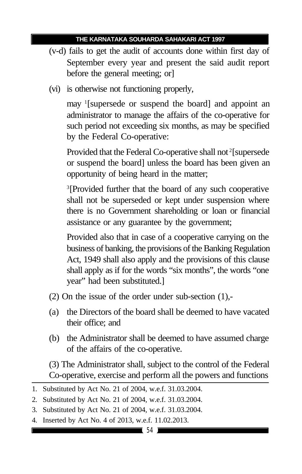- (v-d) fails to get the audit of accounts done within first day of September every year and present the said audit report before the general meeting; or]
- (vi) is otherwise not functioning properly,

may <sup>1</sup> [supersede or suspend the board] and appoint an administrator to manage the affairs of the co-operative for such period not exceeding six months, as may be specified by the Federal Co-operative:

Provided that the Federal Co-operative shall not<sup>2</sup>[supersede or suspend the board] unless the board has been given an opportunity of being heard in the matter;

<sup>3</sup>[Provided further that the board of any such cooperative shall not be superseded or kept under suspension where there is no Government shareholding or loan or financial assistance or any guarantee by the government;

Provided also that in case of a cooperative carrying on the business of banking, the provisions of the Banking Regulation Act, 1949 shall also apply and the provisions of this clause shall apply as if for the words "six months", the words "one year" had been substituted.]

- (2) On the issue of the order under sub-section (1),-
- (a) the Directors of the board shall be deemed to have vacated their office; and
- (b) the Administrator shall be deemed to have assumed charge of the affairs of the co-operative.

(3) The Administrator shall, subject to the control of the Federal Co-operative, exercise and perform all the powers and functions

4. Inserted by Act No. 4 of 2013, w.e.f. 11.02.2013.

<sup>1.</sup> Substituted by Act No. 21 of 2004, w.e.f. 31.03.2004.

<sup>2.</sup> Substituted by Act No. 21 of 2004, w.e.f. 31.03.2004.

<sup>3.</sup> Substituted by Act No. 21 of 2004, w.e.f. 31.03.2004.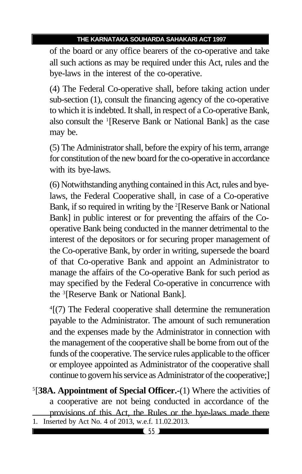of the board or any office bearers of the co-operative and take all such actions as may be required under this Act, rules and the bye-laws in the interest of the co-operative.

(4) The Federal Co-operative shall, before taking action under sub-section (1), consult the financing agency of the co-operative to which it is indebted. It shall, in respect of a Co-operative Bank, also consult the <sup>1</sup> [Reserve Bank or National Bank] as the case may be.

(5) The Administrator shall, before the expiry of his term, arrange for constitution of the new board for the co-operative in accordance with its bye-laws.

(6) Notwithstanding anything contained in this Act, rules and byelaws, the Federal Cooperative shall, in case of a Co-operative Bank, if so required in writing by the <sup>2</sup>[Reserve Bank or National Bank] in public interest or for preventing the affairs of the Cooperative Bank being conducted in the manner detrimental to the interest of the depositors or for securing proper management of the Co-operative Bank, by order in writing, supersede the board of that Co-operative Bank and appoint an Administrator to manage the affairs of the Co-operative Bank for such period as may specified by the Federal Co-operative in concurrence with the <sup>3</sup> [Reserve Bank or National Bank].

4 [(7) The Federal cooperative shall determine the remuneration payable to the Administrator. The amount of such remuneration and the expenses made by the Administrator in connection with the management of the cooperative shall be borne from out of the funds of the cooperative. The service rules applicable to the officer or employee appointed as Administrator of the cooperative shall continue to govern his service as Administrator of the cooperative;]

5 [**38A. Appointment of Special Officer.-**(1) Where the activities of a cooperative are not being conducted in accordance of the provisions of this Act, the Rules or the bye-laws made there 1. Inserted by Act No. 4 of 2013, w.e.f. 11.02.2013.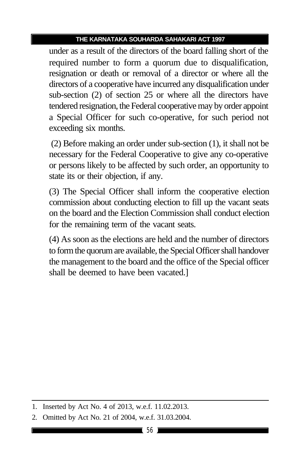under as a result of the directors of the board falling short of the required number to form a quorum due to disqualification, resignation or death or removal of a director or where all the directors of a cooperative have incurred any disqualification under sub-section (2) of section 25 or where all the directors have tendered resignation, the Federal cooperative may by order appoint a Special Officer for such co-operative, for such period not exceeding six months.

 (2) Before making an order under sub-section (1), it shall not be necessary for the Federal Cooperative to give any co-operative or persons likely to be affected by such order, an opportunity to state its or their objection, if any.

(3) The Special Officer shall inform the cooperative election commission about conducting election to fill up the vacant seats on the board and the Election Commission shall conduct election for the remaining term of the vacant seats.

(4) As soon as the elections are held and the number of directors to form the quorum are available, the Special Officer shall handover the management to the board and the office of the Special officer shall be deemed to have been vacated.]

<sup>1.</sup> Inserted by Act No. 4 of 2013, w.e.f. 11.02.2013.

<sup>2.</sup> Omitted by Act No. 21 of 2004, w.e.f. 31.03.2004.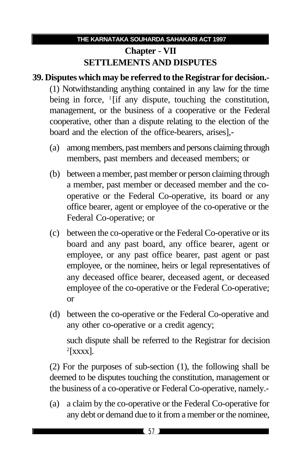# **Chapter - VII SETTLEMENTS AND DISPUTES**

# **39. Disputes which may be referred to the Registrar for decision.-** (1) Notwithstanding anything contained in any law for the time being in force, <sup>1</sup>[if any dispute, touching the constitution, management, or the business of a cooperative or the Federal cooperative, other than a dispute relating to the election of the board and the election of the office-bearers, arises],-

- (a) among members, past members and persons claiming through members, past members and deceased members; or
- (b) between a member, past member or person claiming through a member, past member or deceased member and the cooperative or the Federal Co-operative, its board or any office bearer, agent or employee of the co-operative or the Federal Co-operative; or
- (c) between the co-operative or the Federal Co-operative or its board and any past board, any office bearer, agent or employee, or any past office bearer, past agent or past employee, or the nominee, heirs or legal representatives of any deceased office bearer, deceased agent, or deceased employee of the co-operative or the Federal Co-operative; or
- (d) between the co-operative or the Federal Co-operative and any other co-operative or a credit agency;

such dispute shall be referred to the Registrar for decision  $2$ [xxxx].

(2) For the purposes of sub-section (1), the following shall be deemed to be disputes touching the constitution, management or the business of a co-operative or Federal Co-operative, namely.-

(a) a claim by the co-operative or the Federal Co-operative for any debt or demand due to it from a member or the nominee,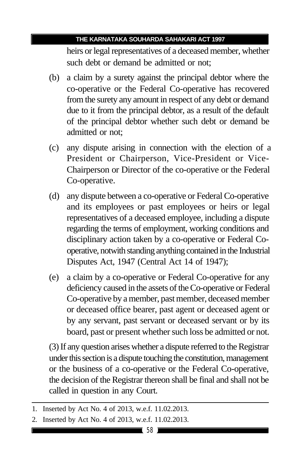heirs or legal representatives of a deceased member, whether such debt or demand be admitted or not;

- (b) a claim by a surety against the principal debtor where the co-operative or the Federal Co-operative has recovered from the surety any amount in respect of any debt or demand due to it from the principal debtor, as a result of the default of the principal debtor whether such debt or demand be admitted or not;
- (c) any dispute arising in connection with the election of a President or Chairperson, Vice-President or Vice-Chairperson or Director of the co-operative or the Federal Co-operative.
- (d) any dispute between a co-operative or Federal Co-operative and its employees or past employees or heirs or legal representatives of a deceased employee, including a dispute regarding the terms of employment, working conditions and disciplinary action taken by a co-operative or Federal Cooperative, notwith standing anything contained in the Industrial Disputes Act, 1947 (Central Act 14 of 1947);
- (e) a claim by a co-operative or Federal Co-operative for any deficiency caused in the assets of the Co-operative or Federal Co-operative by a member, past member, deceased member or deceased office bearer, past agent or deceased agent or by any servant, past servant or deceased servant or by its board, past or present whether such loss be admitted or not.

(3) If any question arises whether a dispute referred to the Registrar under this section is a dispute touching the constitution, management or the business of a co-operative or the Federal Co-operative, the decision of the Registrar thereon shall be final and shall not be called in question in any Court.

<sup>1.</sup> Inserted by Act No. 4 of 2013, w.e.f. 11.02.2013.

<sup>2.</sup> Inserted by Act No. 4 of 2013, w.e.f. 11.02.2013.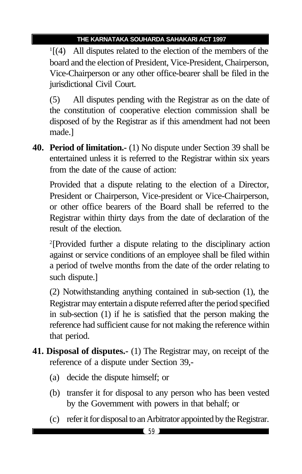1 [(4) All disputes related to the election of the members of the board and the election of President, Vice-President, Chairperson, Vice-Chairperson or any other office-bearer shall be filed in the jurisdictional Civil Court.

(5) All disputes pending with the Registrar as on the date of the constitution of cooperative election commission shall be disposed of by the Registrar as if this amendment had not been made.]

**40. Period of limitation.-** (1) No dispute under Section 39 shall be entertained unless it is referred to the Registrar within six years from the date of the cause of action:

Provided that a dispute relating to the election of a Director, President or Chairperson, Vice-president or Vice-Chairperson, or other office bearers of the Board shall be referred to the Registrar within thirty days from the date of declaration of the result of the election.

2 [Provided further a dispute relating to the disciplinary action against or service conditions of an employee shall be filed within a period of twelve months from the date of the order relating to such dispute.]

(2) Notwithstanding anything contained in sub-section (1), the Registrar may entertain a dispute referred after the period specified in sub-section (1) if he is satisfied that the person making the reference had sufficient cause for not making the reference within that period.

- **41. Disposal of disputes.-** (1) The Registrar may, on receipt of the reference of a dispute under Section 39,-
	- (a) decide the dispute himself; or
	- (b) transfer it for disposal to any person who has been vested by the Government with powers in that behalf; or
	- (c) refer it for disposal to an Arbitrator appointed by the Registrar.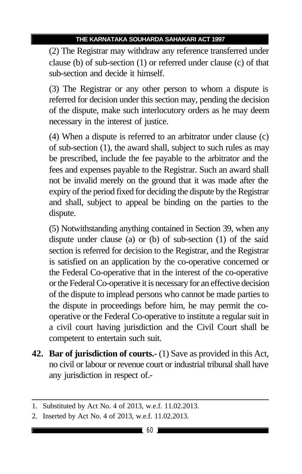(2) The Registrar may withdraw any reference transferred under clause (b) of sub-section (1) or referred under clause (c) of that sub-section and decide it himself.

(3) The Registrar or any other person to whom a dispute is referred for decision under this section may, pending the decision of the dispute, make such interlocutory orders as he may deem necessary in the interest of justice.

(4) When a dispute is referred to an arbitrator under clause (c) of sub-section (1), the award shall, subject to such rules as may be prescribed, include the fee payable to the arbitrator and the fees and expenses payable to the Registrar. Such an award shall not be invalid merely on the ground that it was made after the expiry of the period fixed for deciding the dispute by the Registrar and shall, subject to appeal be binding on the parties to the dispute.

(5) Notwithstanding anything contained in Section 39, when any dispute under clause (a) or (b) of sub-section (1) of the said section is referred for decision to the Registrar, and the Registrar is satisfied on an application by the co-operative concerned or the Federal Co-operative that in the interest of the co-operative or the Federal Co-operative it is necessary for an effective decision of the dispute to implead persons who cannot be made parties to the dispute in proceedings before him, he may permit the cooperative or the Federal Co-operative to institute a regular suit in a civil court having jurisdiction and the Civil Court shall be competent to entertain such suit.

**42. Bar of jurisdiction of courts.-** (1) Save as provided in this Act, no civil or labour or revenue court or industrial tribunal shall have any jurisdiction in respect of.-

<sup>1.</sup> Substituted by Act No. 4 of 2013, w.e.f. 11.02.2013.

<sup>2.</sup> Inserted by Act No. 4 of 2013, w.e.f. 11.02.2013.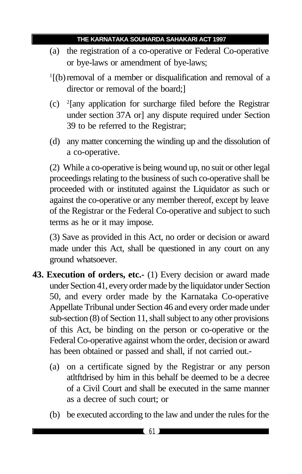- (a) the registration of a co-operative or Federal Co-operative or bye-laws or amendment of bye-laws;
- <sup>1</sup>[(b) removal of a member or disqualification and removal of a director or removal of the board;]
- (c) <sup>2</sup> [any application for surcharge filed before the Registrar under section 37A or] any dispute required under Section 39 to be referred to the Registrar;
- (d) any matter concerning the winding up and the dissolution of a co-operative.

(2) While a co-operative is being wound up, no suit or other legal proceedings relating to the business of such co-operative shall be proceeded with or instituted against the Liquidator as such or against the co-operative or any member thereof, except by leave of the Registrar or the Federal Co-operative and subject to such terms as he or it may impose.

(3) Save as provided in this Act, no order or decision or award made under this Act, shall be questioned in any court on any ground whatsoever.

- **43. Execution of orders, etc.-** (1) Every decision or award made under Section 41, every order made by the liquidator under Section 50, and every order made by the Karnataka Co-operative Appellate Tribunal under Section 46 and every order made under sub-section (8) of Section 11, shall subject to any other provisions of this Act, be binding on the person or co-operative or the Federal Co-operative against whom the order, decision or award has been obtained or passed and shall, if not carried out.-
	- (a) on a certificate signed by the Registrar or any person atltftdrised by him in this behalf be deemed to be a decree of a Civil Court and shall be executed in the same manner as a decree of such court; or
	- (b) be executed according to the law and under the rules for the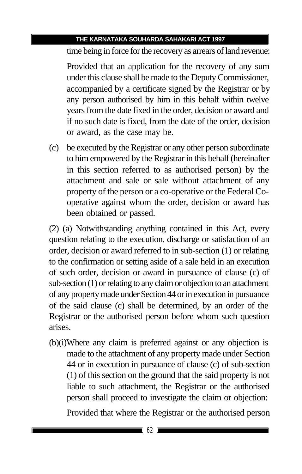time being in force for the recovery as arrears of land revenue:

Provided that an application for the recovery of any sum under this clause shall be made to the Deputy Commissioner, accompanied by a certificate signed by the Registrar or by any person authorised by him in this behalf within twelve years from the date fixed in the order, decision or award and if no such date is fixed, from the date of the order, decision or award, as the case may be.

(c) be executed by the Registrar or any other person subordinate to him empowered by the Registrar in this behalf (hereinafter in this section referred to as authorised person) by the attachment and sale or sale without attachment of any property of the person or a co-operative or the Federal Cooperative against whom the order, decision or award has been obtained or passed.

(2) (a) Notwithstanding anything contained in this Act, every question relating to the execution, discharge or satisfaction of an order, decision or award referred to in sub-section (1) or relating to the confirmation or setting aside of a sale held in an execution of such order, decision or award in pursuance of clause (c) of sub-section (1) or relating to any claim or objection to an attachment of any property made under Section 44 or in execution in pursuance of the said clause (c) shall be determined, by an order of the Registrar or the authorised person before whom such question arises.

(b)(i)Where any claim is preferred against or any objection is made to the attachment of any property made under Section 44 or in execution in pursuance of clause (c) of sub-section (1) of this section on the ground that the said property is not liable to such attachment, the Registrar or the authorised person shall proceed to investigate the claim or objection:

Provided that where the Registrar or the authorised person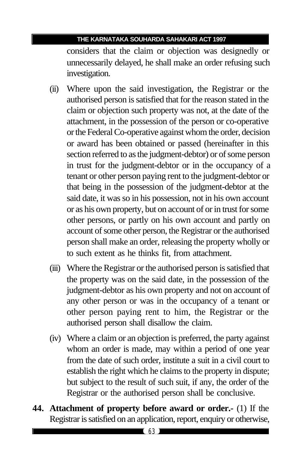considers that the claim or objection was designedly or unnecessarily delayed, he shall make an order refusing such investigation.

- (ii) Where upon the said investigation, the Registrar or the authorised person is satisfied that for the reason stated in the claim or objection such property was not, at the date of the attachment, in the possession of the person or co-operative or the Federal Co-operative against whom the order, decision or award has been obtained or passed (hereinafter in this section referred to as the judgment-debtor) or of some person in trust for the judgment-debtor or in the occupancy of a tenant or other person paying rent to the judgment-debtor or that being in the possession of the judgment-debtor at the said date, it was so in his possession, not in his own account or as his own property, but on account of or in trust for some other persons, or partly on his own account and partly on account of some other person, the Registrar or the authorised person shall make an order, releasing the property wholly or to such extent as he thinks fit, from attachment.
- (iii) Where the Registrar or the authorised person is satisfied that the property was on the said date, in the possession of the judgment-debtor as his own property and not on account of any other person or was in the occupancy of a tenant or other person paying rent to him, the Registrar or the authorised person shall disallow the claim.
- (iv) Where a claim or an objection is preferred, the party against whom an order is made, may within a period of one year from the date of such order, institute a suit in a civil court to establish the right which he claims to the property in dispute; but subject to the result of such suit, if any, the order of the Registrar or the authorised person shall be conclusive.
- **44. Attachment of property before award or order.-** (1) If the Registrar is satisfied on an application, report, enquiry or otherwise,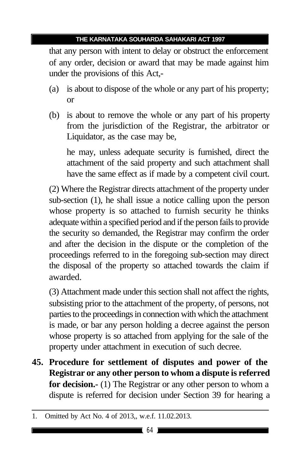that any person with intent to delay or obstruct the enforcement of any order, decision or award that may be made against him under the provisions of this Act,-

- (a) is about to dispose of the whole or any part of his property; or
- (b) is about to remove the whole or any part of his property from the jurisdiction of the Registrar, the arbitrator or Liquidator, as the case may be,

he may, unless adequate security is furnished, direct the attachment of the said property and such attachment shall have the same effect as if made by a competent civil court.

(2) Where the Registrar directs attachment of the property under sub-section (1), he shall issue a notice calling upon the person whose property is so attached to furnish security he thinks adequate within a specified period and if the person fails to provide the security so demanded, the Registrar may confirm the order and after the decision in the dispute or the completion of the proceedings referred to in the foregoing sub-section may direct the disposal of the property so attached towards the claim if awarded.

(3) Attachment made under this section shall not affect the rights, subsisting prior to the attachment of the property, of persons, not parties to the proceedings in connection with which the attachment is made, or bar any person holding a decree against the person whose property is so attached from applying for the sale of the property under attachment in execution of such decree.

**45. Procedure for settlement of disputes and power of the Registrar or any other person to whom a dispute is referred for decision.-** (1) The Registrar or any other person to whom a dispute is referred for decision under Section 39 for hearing a

<sup>1.</sup> Omitted by Act No. 4 of 2013,, w.e.f. 11.02.2013.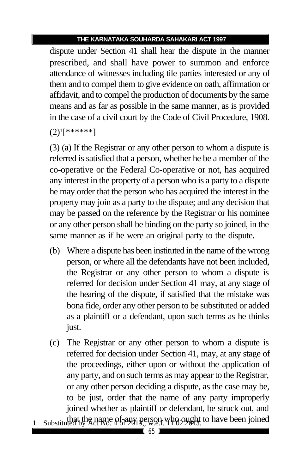dispute under Section 41 shall hear the dispute in the manner prescribed, and shall have power to summon and enforce attendance of witnesses including tile parties interested or any of them and to compel them to give evidence on oath, affirmation or affidavit, and to compel the production of documents by the same means and as far as possible in the same manner, as is provided in the case of a civil court by the Code of Civil Procedure, 1908.

 $(2)^{1}$ [\*\*\*\*\*\*]

(3) (a) If the Registrar or any other person to whom a dispute is referred is satisfied that a person, whether he be a member of the co-operative or the Federal Co-operative or not, has acquired any interest in the property of a person who is a party to a dispute he may order that the person who has acquired the interest in the property may join as a party to the dispute; and any decision that may be passed on the reference by the Registrar or his nominee or any other person shall be binding on the party so joined, in the same manner as if he were an original party to the dispute.

- (b) Where a dispute has been instituted in the name of the wrong person, or where all the defendants have not been included, the Registrar or any other person to whom a dispute is referred for decision under Section 41 may, at any stage of the hearing of the dispute, if satisfied that the mistake was bona fide, order any other person to be substituted or added as a plaintiff or a defendant, upon such terms as he thinks just.
- (c) The Registrar or any other person to whom a dispute is referred for decision under Section 41, may, at any stage of the proceedings, either upon or without the application of any party, and on such terms as may appear to the Registrar, or any other person deciding a dispute, as the case may be, to be just, order that the name of any party improperly joined whether as plaintiff or defendant, be struck out, and
- 1. Substituted by Act No. 4 of any person who ought to have been joined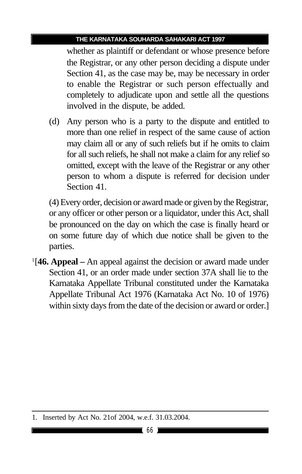whether as plaintiff or defendant or whose presence before the Registrar, or any other person deciding a dispute under Section 41, as the case may be, may be necessary in order to enable the Registrar or such person effectually and completely to adjudicate upon and settle all the questions involved in the dispute, be added.

(d) Any person who is a party to the dispute and entitled to more than one relief in respect of the same cause of action may claim all or any of such reliefs but if he omits to claim for all such reliefs, he shall not make a claim for any relief so omitted, except with the leave of the Registrar or any other person to whom a dispute is referred for decision under Section 41.

(4) Every order, decision or award made or given by the Registrar, or any officer or other person or a liquidator, under this Act, shall be pronounced on the day on which the case is finally heard or on some future day of which due notice shall be given to the parties.

1 [**46. Appeal –** An appeal against the decision or award made under Section 41, or an order made under section 37A shall lie to the Karnataka Appellate Tribunal constituted under the Karnataka Appellate Tribunal Act 1976 (Karnataka Act No. 10 of 1976) within sixty days from the date of the decision or award or order.]

<sup>1.</sup> Inserted by Act No. 21of 2004, w.e.f. 31.03.2004.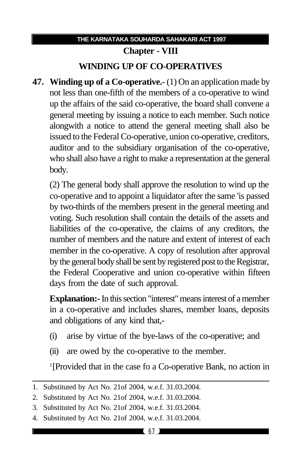# **THE KARNATAKA SOUHARDA SAHAKARI ACT 1997 Chapter - VIII WINDING UP OF CO-OPERATIVES**

**47. Winding up of a Co-operative.-** (1) On an application made by not less than one-fifth of the members of a co-operative to wind up the affairs of the said co-operative, the board shall convene a general meeting by issuing a notice to each member. Such notice alongwith a notice to attend the general meeting shall also be issued to the Federal Co-operative, union co-operative, creditors, auditor and to the subsidiary organisation of the co-operative, who shall also have a right to make a representation at the general body.

(2) The general body shall approve the resolution to wind up the co-operative and to appoint a liquidator after the same 'is passed by two-thirds of the members present in the general meeting and voting. Such resolution shall contain the details of the assets and liabilities of the co-operative, the claims of any creditors, the number of members and the nature and extent of interest of each member in the co-operative. A copy of resolution after approval by the general body shall be sent by registered post to the Registrar, the Federal Cooperative and union co-operative within fifteen days from the date of such approval.

**Explanation:-** In this section "interest" means interest of a member in a co-operative and includes shares, member loans, deposits and obligations of any kind that,-

- (i) arise by virtue of the bye-laws of the co-operative; and
- (ii) are owed by the co-operative to the member.

1 [Provided that in the case fo a Co-operative Bank, no action in

4. Substituted by Act No. 21of 2004, w.e.f. 31.03.2004.

<sup>1.</sup> Substituted by Act No. 21of 2004, w.e.f. 31.03.2004.

<sup>2.</sup> Substituted by Act No. 21of 2004, w.e.f. 31.03.2004.

<sup>3.</sup> Substituted by Act No. 21of 2004, w.e.f. 31.03.2004.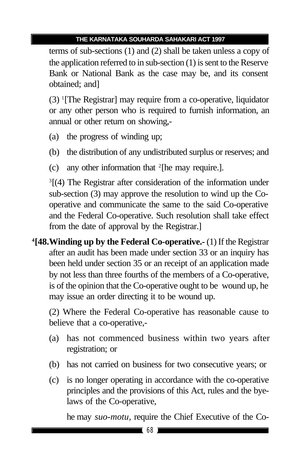terms of sub-sections (1) and (2) shall be taken unless a copy of the application referred to in sub-section (1) is sent to the Reserve Bank or National Bank as the case may be, and its consent obtained; and]

(3) <sup>1</sup> [The Registrar] may require from a co-operative, liquidator or any other person who is required to furnish information, an annual or other return on showing,-

- (a) the progress of winding up;
- (b) the distribution of any undistributed surplus or reserves; and
- (c) any other information that <sup>2</sup> [he may require.].

<sup>3</sup>[(4) The Registrar after consideration of the information under sub-section (3) may approve the resolution to wind up the Cooperative and communicate the same to the said Co-operative and the Federal Co-operative. Such resolution shall take effect from the date of approval by the Registrar.]

**4 [48.Winding up by the Federal Co-operative.-** (1) If the Registrar after an audit has been made under section 33 or an inquiry has been held under section 35 or an receipt of an application made by not less than three fourths of the members of a Co-operative, is of the opinion that the Co-operative ought to be wound up, he may issue an order directing it to be wound up.

(2) Where the Federal Co-operative has reasonable cause to believe that a co-operative,-

- (a) has not commenced business within two years after registration; or
- (b) has not carried on business for two consecutive years; or
- (c) is no longer operating in accordance with the co-operative principles and the provisions of this Act, rules and the byelaws of the Co-operative,

he may *suo-motu,* require the Chief Executive of the Co-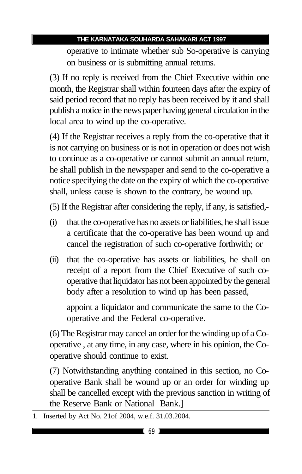operative to intimate whether sub So-operative is carrying on business or is submitting annual returns.

(3) If no reply is received from the Chief Executive within one month, the Registrar shall within fourteen days after the expiry of said period record that no reply has been received by it and shall publish a notice in the news paper having general circulation in the local area to wind up the co-operative.

(4) If the Registrar receives a reply from the co-operative that it is not carrying on business or is not in operation or does not wish to continue as a co-operative or cannot submit an annual return, he shall publish in the newspaper and send to the co-operative a notice specifying the date on the expiry of which the co-operative shall, unless cause is shown to the contrary, be wound up.

(5) If the Registrar after considering the reply, if any, is satisfied,-

- (i) that the co-operative has no assets or liabilities, he shall issue a certificate that the co-operative has been wound up and cancel the registration of such co-operative forthwith; or
- (ii) that the co-operative has assets or liabilities, he shall on receipt of a report from the Chief Executive of such cooperative that liquidator has not been appointed by the general body after a resolution to wind up has been passed,

appoint a liquidator and communicate the same to the Cooperative and the Federal co-operative.

(6) The Registrar may cancel an order for the winding up of a Cooperative , at any time, in any case, where in his opinion, the Cooperative should continue to exist.

(7) Notwithstanding anything contained in this section, no Cooperative Bank shall be wound up or an order for winding up shall be cancelled except with the previous sanction in writing of the Reserve Bank or National Bank.]

<sup>1.</sup> Inserted by Act No. 21of 2004, w.e.f. 31.03.2004.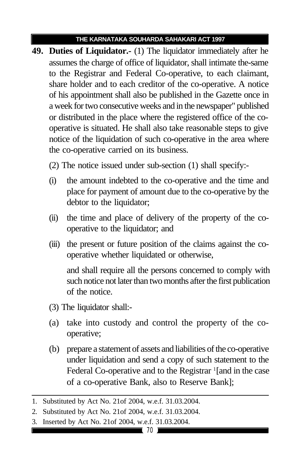- **49. Duties of Liquidator.-** (1) The liquidator immediately after he assumes the charge of office of liquidator, shall intimate the-same to the Registrar and Federal Co-operative, to each claimant, share holder and to each creditor of the co-operative. A notice of his appointment shall also be published in the Gazette once in a week for two consecutive weeks and in the newspaper" published or distributed in the place where the registered office of the cooperative is situated. He shall also take reasonable steps to give notice of the liquidation of such co-operative in the area where the co-operative carried on its business.
	- (2) The notice issued under sub-section (1) shall specify:-
	- (i) the amount indebted to the co-operative and the time and place for payment of amount due to the co-operative by the debtor to the liquidator;
	- (ii) the time and place of delivery of the property of the cooperative to the liquidator; and
	- (iii) the present or future position of the claims against the cooperative whether liquidated or otherwise,

and shall require all the persons concerned to comply with such notice not later than two months after the first publication of the notice.

- (3) The liquidator shall:-
- (a) take into custody and control the property of the cooperative;
- (b) prepare a statement of assets and liabilities of the co-operative under liquidation and send a copy of such statement to the Federal Co-operative and to the Registrar <sup>1</sup>[and in the case of a co-operative Bank, also to Reserve Bank];

<sup>1.</sup> Substituted by Act No. 21of 2004, w.e.f. 31.03.2004.

<sup>2.</sup> Substituted by Act No. 21of 2004, w.e.f. 31.03.2004.

<sup>3.</sup> Inserted by Act No. 21of 2004, w.e.f. 31.03.2004.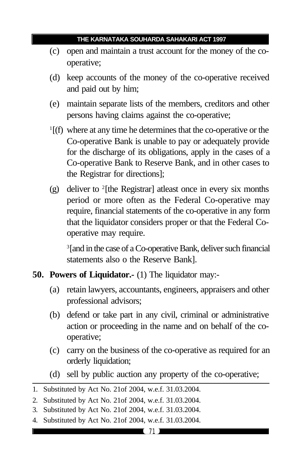- (c) open and maintain a trust account for the money of the cooperative;
- (d) keep accounts of the money of the co-operative received and paid out by him;
- (e) maintain separate lists of the members, creditors and other persons having claims against the co-operative;
- 1 [(f) where at any time he determines that the co-operative or the Co-operative Bank is unable to pay or adequately provide for the discharge of its obligations, apply in the cases of a Co-operative Bank to Reserve Bank, and in other cases to the Registrar for directions];
- (g) deliver to <sup>2</sup> [the Registrar] atleast once in every six months period or more often as the Federal Co-operative may require, financial statements of the co-operative in any form that the liquidator considers proper or that the Federal Cooperative may require.

3 [and in the case of a Co-operative Bank, deliver such financial statements also o the Reserve Bank].

- **50. Powers of Liquidator.-** (1) The liquidator may:-
	- (a) retain lawyers, accountants, engineers, appraisers and other professional advisors;
	- (b) defend or take part in any civil, criminal or administrative action or proceeding in the name and on behalf of the cooperative;
	- (c) carry on the business of the co-operative as required for an orderly liquidation;
	- (d) sell by public auction any property of the co-operative;

<sup>1.</sup> Substituted by Act No. 21of 2004, w.e.f. 31.03.2004.

<sup>2.</sup> Substituted by Act No. 21of 2004, w.e.f. 31.03.2004.

<sup>3.</sup> Substituted by Act No. 21of 2004, w.e.f. 31.03.2004.

<sup>4.</sup> Substituted by Act No. 21of 2004, w.e.f. 31.03.2004.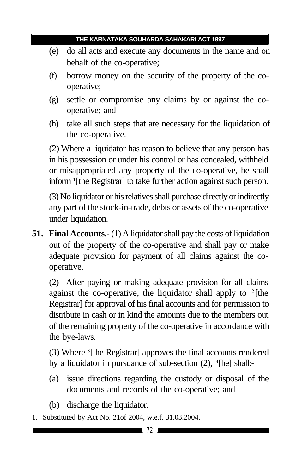- (e) do all acts and execute any documents in the name and on behalf of the co-operative;
- (f) borrow money on the security of the property of the cooperative;
- (g) settle or compromise any claims by or against the cooperative; and
- (h) take all such steps that are necessary for the liquidation of the co-operative.

(2) Where a liquidator has reason to believe that any person has in his possession or under his control or has concealed, withheld or misappropriated any property of the co-operative, he shall inform <sup>1</sup> [the Registrar] to take further action against such person.

(3) No liquidator or his relatives shall purchase directly or indirectly any part of the stock-in-trade, debts or assets of the co-operative under liquidation.

**51. Final Accounts.-** (1) A liquidator shall pay the costs of liquidation out of the property of the co-operative and shall pay or make adequate provision for payment of all claims against the cooperative.

(2) After paying or making adequate provision for all claims against the co-operative, the liquidator shall apply to  $2$ [the Registrar] for approval of his final accounts and for permission to distribute in cash or in kind the amounts due to the members out of the remaining property of the co-operative in accordance with the bye-laws.

(3) Where <sup>3</sup> [the Registrar] approves the final accounts rendered by a liquidator in pursuance of sub-section (2), <sup>4</sup>[he] shall:-

- (a) issue directions regarding the custody or disposal of the documents and records of the co-operative; and
- (b) discharge the liquidator.
- 1. Substituted by Act No. 21of 2004, w.e.f. 31.03.2004.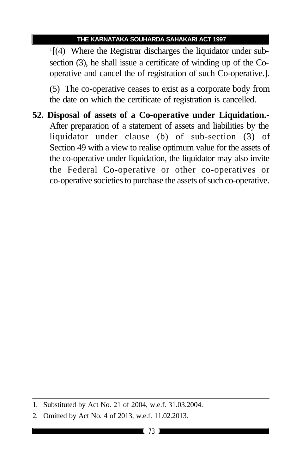1 [(4) Where the Registrar discharges the liquidator under subsection (3), he shall issue a certificate of winding up of the Cooperative and cancel the of registration of such Co-operative.].

(5) The co-operative ceases to exist as a corporate body from the date on which the certificate of registration is cancelled.

**52. Disposal of assets of a Co-operative under Liquidation.-** After preparation of a statement of assets and liabilities by the liquidator under clause (b) of sub-section (3) of Section 49 with a view to realise optimum value for the assets of the co-operative under liquidation, the liquidator may also invite the Federal Co-operative or other co-operatives or co-operative societies to purchase the assets of such co-operative.

<sup>1.</sup> Substituted by Act No. 21 of 2004, w.e.f. 31.03.2004.

<sup>2.</sup> Omitted by Act No. 4 of 2013, w.e.f. 11.02.2013.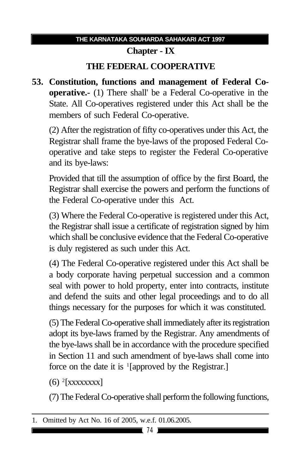# **Chapter - IX**

## **THE FEDERAL COOPERATIVE**

**53. Constitution, functions and management of Federal Cooperative.-** (1) There shall' be a Federal Co-operative in the State. All Co-operatives registered under this Act shall be the members of such Federal Co-operative.

(2) After the registration of fifty co-operatives under this Act, the Registrar shall frame the bye-laws of the proposed Federal Cooperative and take steps to register the Federal Co-operative and its bye-laws:

Provided that till the assumption of office by the first Board, the Registrar shall exercise the powers and perform the functions of the Federal Co-operative under this Act.

(3) Where the Federal Co-operative is registered under this Act, the Registrar shall issue a certificate of registration signed by him which shall be conclusive evidence that the Federal Co-operative is duly registered as such under this Act.

(4) The Federal Co-operative registered under this Act shall be a body corporate having perpetual succession and a common seal with power to hold property, enter into contracts, institute and defend the suits and other legal proceedings and to do all things necessary for the purposes for which it was constituted.

(5) The Federal Co-operative shall immediately after its registration adopt its bye-laws framed by the Registrar. Any amendments of the bye-laws shall be in accordance with the procedure specified in Section 11 and such amendment of bye-laws shall come into force on the date it is <sup>1</sup>[approved by the Registrar.]

 $(6)$ <sup>2</sup>[xxxxxxxx]

(7) The Federal Co-operative shall perform the following functions,

<sup>1.</sup> Omitted by Act No. 16 of 2005, w.e.f. 01.06.2005.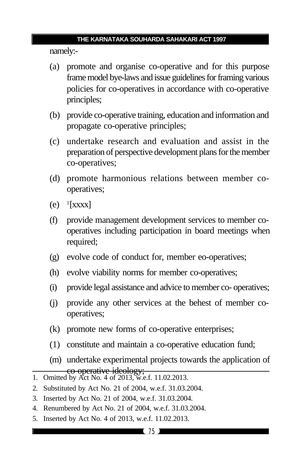namely:-

- (a) promote and organise co-operative and for this purpose frame model bye-laws and issue guidelines for framing various policies for co-operatives in accordance with co-operative principles;
- (b) provide co-operative training, education and information and propagate co-operative principles;
- (c) undertake research and evaluation and assist in the preparation of perspective development plans for the member co-operatives;
- (d) promote harmonious relations between member cooperatives;
- $(e)$ <sup>1</sup>[xxxx]
- (f) provide management development services to member cooperatives including participation in board meetings when required;
- (g) evolve code of conduct for, member eo-operatives;
- (h) evolve viability norms for member co-operatives;
- (i) provide legal assistance and advice to member co- operatives;
- (j) provide any other services at the behest of member cooperatives;
- (k) promote new forms of co-operative enterprises;
- (1) constitute and maintain a co-operative education fund;
- (m) undertake experimental projects towards the application of co-operative ideology;<br>1. Omitted by Act No. 4 of 2013, w.e.f. 11.02.2013.
- 
- 2. Substituted by Act No. 21 of 2004, w.e.f. 31.03.2004.
- 3. Inserted by Act No. 21 of 2004, w.e.f. 31.03.2004.
- 4. Renumbered by Act No. 21 of 2004, w.e.f. 31.03.2004.
- 5. Inserted by Act No. 4 of 2013, w.e.f. 11.02.2013.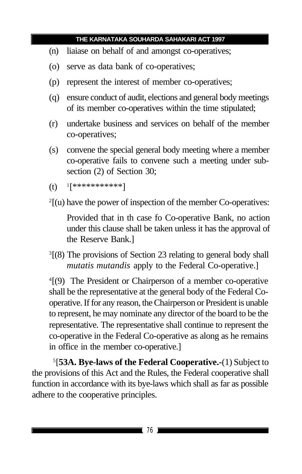- (n) liaiase on behalf of and amongst co-operatives;
- (o) serve as data bank of co-operatives;
- (p) represent the interest of member co-operatives;
- (q) ensure conduct of audit, elections and general body meetings of its member co-operatives within the time stipulated;
- (r) undertake business and services on behalf of the member co-operatives;
- (s) convene the special general body meeting where a member co-operative fails to convene such a meeting under subsection (2) of Section 30;

```
(t)[***********]
```
 $2[$ (u) have the power of inspection of the member Co-operatives:

Provided that in th case fo Co-operative Bank, no action under this clause shall be taken unless it has the approval of the Reserve Bank.]

<sup>3</sup>[(8) The provisions of Section 23 relating to general body shall *mutatis mutandis* apply to the Federal Co-operative.]

4 [(9) The President or Chairperson of a member co-operative shall be the representative at the general body of the Federal Cooperative. If for any reason, the Chairperson or President is unable to represent, he may nominate any director of the board to be the representative. The representative shall continue to represent the co-operative in the Federal Co-operative as along as he remains in office in the member co-operative.]

5 [**53A. Bye-laws of the Federal Cooperative.-**(1) Subject to the provisions of this Act and the Rules, the Federal cooperative shall function in accordance with its bye-laws which shall as far as possible adhere to the cooperative principles.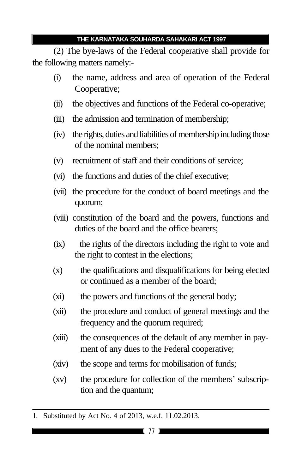(2) The bye-laws of the Federal cooperative shall provide for the following matters namely:-

- (i) the name, address and area of operation of the Federal Cooperative;
- (ii) the objectives and functions of the Federal co-operative;
- (iii) the admission and termination of membership;
- (iv) the rights, duties and liabilities of membership including those of the nominal members;
- (v) recruitment of staff and their conditions of service;
- (vi) the functions and duties of the chief executive;
- (vii) the procedure for the conduct of board meetings and the quorum;
- (viii) constitution of the board and the powers, functions and duties of the board and the office bearers;
- (ix) the rights of the directors including the right to vote and the right to contest in the elections;
- (x) the qualifications and disqualifications for being elected or continued as a member of the board;
- (xi) the powers and functions of the general body;
- (xii) the procedure and conduct of general meetings and the frequency and the quorum required;
- (xiii) the consequences of the default of any member in payment of any dues to the Federal cooperative;
- (xiv) the scope and terms for mobilisation of funds;
- (xv) the procedure for collection of the members' subscription and the quantum;

<sup>1.</sup> Substituted by Act No. 4 of 2013, w.e.f. 11.02.2013.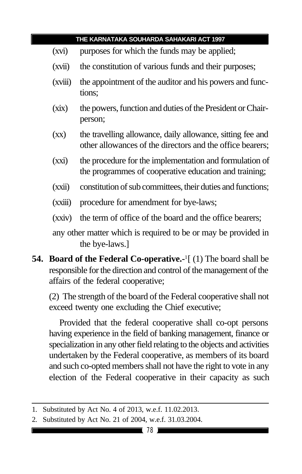- (xvi) purposes for which the funds may be applied;
- (xvii) the constitution of various funds and their purposes;
- (xviii) the appointment of the auditor and his powers and functions;
- (xix) the powers, function and duties of the President or Chairperson;
- (xx) the travelling allowance, daily allowance, sitting fee and other allowances of the directors and the office bearers;
- (xxi) the procedure for the implementation and formulation of the programmes of cooperative education and training;
- (xxii) constitution of sub committees, their duties and functions;
- (xxiii) procedure for amendment for bye-laws;
- (xxiv) the term of office of the board and the office bearers;

any other matter which is required to be or may be provided in the bye-laws.]

**54. Board of the Federal Co-operative.-**<sup>1</sup> [ (1) The board shall be responsible for the direction and control of the management of the affairs of the federal cooperative;

(2) The strength of the board of the Federal cooperative shall not exceed twenty one excluding the Chief executive;

Provided that the federal cooperative shall co-opt persons having experience in the field of banking management, finance or specialization in any other field relating to the objects and activities undertaken by the Federal cooperative, as members of its board and such co-opted members shall not have the right to vote in any election of the Federal cooperative in their capacity as such

<sup>1.</sup> Substituted by Act No. 4 of 2013, w.e.f. 11.02.2013.

<sup>2.</sup> Substituted by Act No. 21 of 2004, w.e.f. 31.03.2004.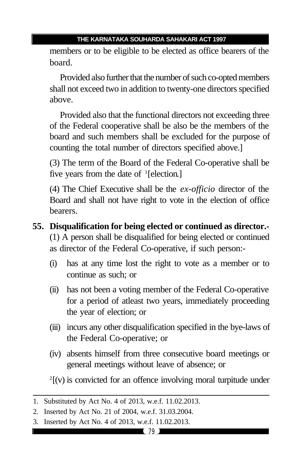members or to be eligible to be elected as office bearers of the board.

Provided also further that the number of such co-opted members shall not exceed two in addition to twenty-one directors specified above.

Provided also that the functional directors not exceeding three of the Federal cooperative shall be also be the members of the board and such members shall be excluded for the purpose of counting the total number of directors specified above.]

(3) The term of the Board of the Federal Co-operative shall be five years from the date of <sup>1</sup>[election.]

(4) The Chief Executive shall be the *ex-officio* director of the Board and shall not have right to vote in the election of office bearers.

- **55. Disqualification for being elected or continued as director.-** (1) A person shall be disqualified for being elected or continued as director of the Federal Co-operative, if such person:-
	- (i) has at any time lost the right to vote as a member or to continue as such; or
	- (ii) has not been a voting member of the Federal Co-operative for a period of atleast two years, immediately proceeding the year of election; or
	- (iii) incurs any other disqualification specified in the bye-laws of the Federal Co-operative; or
	- (iv) absents himself from three consecutive board meetings or general meetings without leave of absence; or

 $2($ [ $v$ ) is convicted for an offence involving moral turpitude under

<sup>1.</sup> Substituted by Act No. 4 of 2013, w.e.f. 11.02.2013.

<sup>2.</sup> Inserted by Act No. 21 of 2004, w.e.f. 31.03.2004.

<sup>3.</sup> Inserted by Act No. 4 of 2013, w.e.f. 11.02.2013.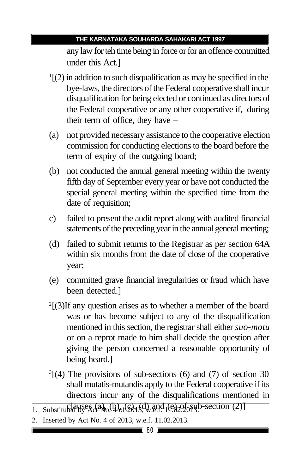any law for teh time being in force or for an offence committed under this Act.]

- 1 [(2) in addition to such disqualification as may be specified in the bye-laws, the directors of the Federal cooperative shall incur disqualification for being elected or continued as directors of the Federal cooperative or any other cooperative if, during their term of office, they have –
- (a) not provided necessary assistance to the cooperative election commission for conducting elections to the board before the term of expiry of the outgoing board;
- (b) not conducted the annual general meeting within the twenty fifth day of September every year or have not conducted the special general meeting within the specified time from the date of requisition;
- c) failed to present the audit report along with audited financial statements of the preceding year in the annual general meeting;
- (d) failed to submit returns to the Registrar as per section 64A within six months from the date of close of the cooperative year;
- (e) committed grave financial irregularities or fraud which have been detected.]
- 2 [(3)If any question arises as to whether a member of the board was or has become subject to any of the disqualification mentioned in this section, the registrar shall either *suo-motu* or on a reprot made to him shall decide the question after giving the person concerned a reasonable opportunity of being heard.]
- 3 [(4) The provisions of sub-sections (6) and (7) of section 30 shall mutatis-mutandis apply to the Federal cooperative if its directors incur any of the disqualifications mentioned in
- 1. Substituted by Act No.  $(4)$ <sub>of</sub>  $(2)$ <sub>1.</sub> $(4)$ <sub>w</sub>.e.f. 1 $(4)$ <sub>2.20</sub>f<sub>o</sub>syb-section (2)]
- 2. Inserted by Act No. 4 of 2013, w.e.f. 11.02.2013.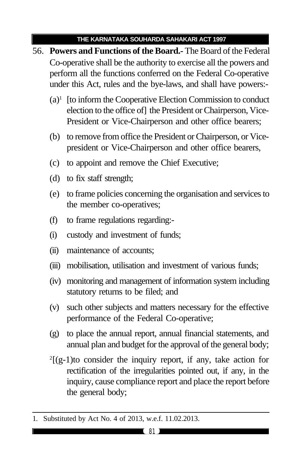- 56. **Powers and Functions of the Board.-** The Board of the Federal Co-operative shall be the authority to exercise all the powers and perform all the functions conferred on the Federal Co-operative under this Act, rules and the bye-laws, and shall have powers:-
	- (a)<sup>1</sup> [to inform the Cooperative Election Commission to conduct election to the office of] the President or Chairperson, Vice-President or Vice-Chairperson and other office bearers;
	- (b) to remove from office the President or Chairperson, or Vicepresident or Vice-Chairperson and other office bearers,
	- (c) to appoint and remove the Chief Executive;
	- (d) to fix staff strength;
	- (e) to frame policies concerning the organisation and services to the member co-operatives;
	- (f) to frame regulations regarding:-
	- (i) custody and investment of funds;
	- (ii) maintenance of accounts;
	- (iii) mobilisation, utilisation and investment of various funds;
	- (iv) monitoring and management of information system including statutory returns to be filed; and
	- (v) such other subjects and matters necessary for the effective performance of the Federal Co-operative;
	- (g) to place the annual report, annual financial statements, and annual plan and budget for the approval of the general body;
	- $2[(g-1)t$  consider the inquiry report, if any, take action for rectification of the irregularities pointed out, if any, in the inquiry, cause compliance report and place the report before the general body;

<sup>1.</sup> Substituted by Act No. 4 of 2013, w.e.f. 11.02.2013.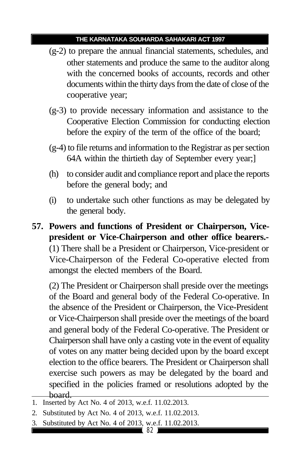- (g-2) to prepare the annual financial statements, schedules, and other statements and produce the same to the auditor along with the concerned books of accounts, records and other documents within the thirty days from the date of close of the cooperative year;
- (g-3) to provide necessary information and assistance to the Cooperative Election Commission for conducting election before the expiry of the term of the office of the board;
- (g-4) to file returns and information to the Registrar as per section 64A within the thirtieth day of September every year;]
- (h) to consider audit and compliance report and place the reports before the general body; and
- (i) to undertake such other functions as may be delegated by the general body.
- **57. Powers and functions of President or Chairperson, Vicepresident or Vice-Chairperson and other office bearers.-** (1) There shall be a President or Chairperson, Vice-president or Vice-Chairperson of the Federal Co-operative elected from amongst the elected members of the Board.

(2) The President or Chairperson shall preside over the meetings of the Board and general body of the Federal Co-operative. In the absence of the President or Chairperson, the Vice-President or Vice-Chairperson shall preside over the meetings of the board and general body of the Federal Co-operative. The President or Chairperson shall have only a casting vote in the event of equality of votes on any matter being decided upon by the board except election to the office bearers. The President or Chairperson shall exercise such powers as may be delegated by the board and specified in the policies framed or resolutions adopted by the board.

3. Substituted by Act No. 4 of 2013, w.e.f. 11.02.2013.

<sup>1.</sup> Inserted by Act No. 4 of 2013, w.e.f. 11.02.2013.

<sup>2.</sup> Substituted by Act No. 4 of 2013, w.e.f. 11.02.2013.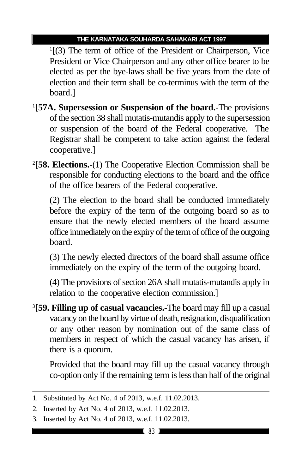1 [(3) The term of office of the President or Chairperson, Vice President or Vice Chairperson and any other office bearer to be elected as per the bye-laws shall be five years from the date of election and their term shall be co-terminus with the term of the board.]

- 1 [**57A. Supersession or Suspension of the board.-**The provisions of the section 38 shall mutatis-mutandis apply to the supersession or suspension of the board of the Federal cooperative. The Registrar shall be competent to take action against the federal cooperative.]
- 2 [**58. Elections.-**(1) The Cooperative Election Commission shall be responsible for conducting elections to the board and the office of the office bearers of the Federal cooperative.

(2) The election to the board shall be conducted immediately before the expiry of the term of the outgoing board so as to ensure that the newly elected members of the board assume office immediately on the expiry of the term of office of the outgoing board.

(3) The newly elected directors of the board shall assume office immediately on the expiry of the term of the outgoing board.

(4) The provisions of section 26A shall mutatis-mutandis apply in relation to the cooperative election commission.]

3 [**59. Filling up of casual vacancies.-**The board may fill up a casual vacancy on the board by virtue of death, resignation, disqualification or any other reason by nomination out of the same class of members in respect of which the casual vacancy has arisen, if there is a quorum.

Provided that the board may fill up the casual vacancy through co-option only if the remaining term is less than half of the original

<sup>1.</sup> Substituted by Act No. 4 of 2013, w.e.f. 11.02.2013.

<sup>2.</sup> Inserted by Act No. 4 of 2013, w.e.f. 11.02.2013.

<sup>3.</sup> Inserted by Act No. 4 of 2013, w.e.f. 11.02.2013.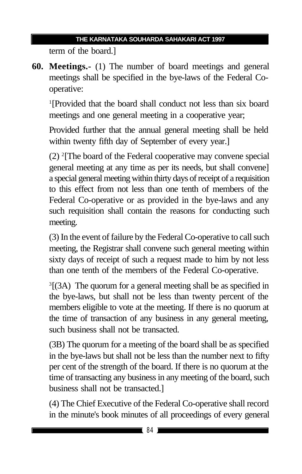term of the board.]

**60. Meetings.-** (1) The number of board meetings and general meetings shall be specified in the bye-laws of the Federal Cooperative:

1 [Provided that the board shall conduct not less than six board meetings and one general meeting in a cooperative year;

Provided further that the annual general meeting shall be held within twenty fifth day of September of every year.]

(2) <sup>2</sup> [The board of the Federal cooperative may convene special general meeting at any time as per its needs, but shall convene] a special general meeting within thirty days of receipt of a requisition to this effect from not less than one tenth of members of the Federal Co-operative or as provided in the bye-laws and any such requisition shall contain the reasons for conducting such meeting.

(3) In the event of failure by the Federal Co-operative to call such meeting, the Registrar shall convene such general meeting within sixty days of receipt of such a request made to him by not less than one tenth of the members of the Federal Co-operative.

<sup>3</sup>[(3A) The quorum for a general meeting shall be as specified in the bye-laws, but shall not be less than twenty percent of the members eligible to vote at the meeting. If there is no quorum at the time of transaction of any business in any general meeting, such business shall not be transacted.

(3B) The quorum for a meeting of the board shall be as specified in the bye-laws but shall not be less than the number next to fifty per cent of the strength of the board. If there is no quorum at the time of transacting any business in any meeting of the board, such business shall not be transacted.]

(4) The Chief Executive of the Federal Co-operative shall record in the minute's book minutes of all proceedings of every general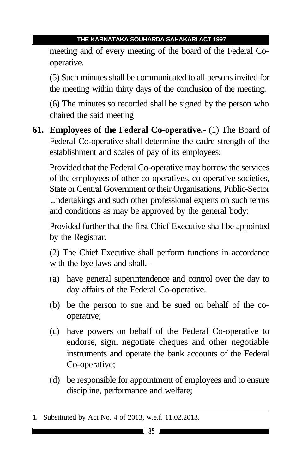meeting and of every meeting of the board of the Federal Cooperative.

(5) Such minutes shall be communicated to all persons invited for the meeting within thirty days of the conclusion of the meeting.

(6) The minutes so recorded shall be signed by the person who chaired the said meeting

**61. Employees of the Federal Co-operative.-** (1) The Board of Federal Co-operative shall determine the cadre strength of the establishment and scales of pay of its employees:

Provided that the Federal Co-operative may borrow the services of the employees of other co-operatives, co-operative societies, State or Central Government or their Organisations, Public-Sector Undertakings and such other professional experts on such terms and conditions as may be approved by the general body:

Provided further that the first Chief Executive shall be appointed by the Registrar.

(2) The Chief Executive shall perform functions in accordance with the bye-laws and shall,-

- (a) have general superintendence and control over the day to day affairs of the Federal Co-operative.
- (b) be the person to sue and be sued on behalf of the cooperative;
- (c) have powers on behalf of the Federal Co-operative to endorse, sign, negotiate cheques and other negotiable instruments and operate the bank accounts of the Federal Co-operative;
- (d) be responsible for appointment of employees and to ensure discipline, performance and welfare;

<sup>1.</sup> Substituted by Act No. 4 of 2013, w.e.f. 11.02.2013.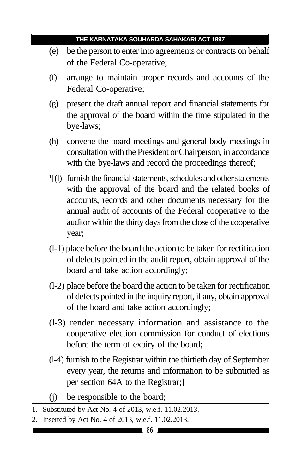- (e) be the person to enter into agreements or contracts on behalf of the Federal Co-operative;
- (f) arrange to maintain proper records and accounts of the Federal Co-operative;
- (g) present the draft annual report and financial statements for the approval of the board within the time stipulated in the bye-laws;
- (h) convene the board meetings and general body meetings in consultation with the President or Chairperson, in accordance with the bye-laws and record the proceedings thereof;
- <sup>1</sup>[(l) furnish the financial statements, schedules and other statements with the approval of the board and the related books of accounts, records and other documents necessary for the annual audit of accounts of the Federal cooperative to the auditor within the thirty days from the close of the cooperative year;
- (l-1) place before the board the action to be taken for rectification of defects pointed in the audit report, obtain approval of the board and take action accordingly;
- (l-2) place before the board the action to be taken for rectification of defects pointed in the inquiry report, if any, obtain approval of the board and take action accordingly;
- (l-3) render necessary information and assistance to the cooperative election commission for conduct of elections before the term of expiry of the board;
- (l-4) furnish to the Registrar within the thirtieth day of September every year, the returns and information to be submitted as per section 64A to the Registrar;]
- (j) be responsible to the board;
- 1. Substituted by Act No. 4 of 2013, w.e.f. 11.02.2013.
- 2. Inserted by Act No. 4 of 2013, w.e.f. 11.02.2013.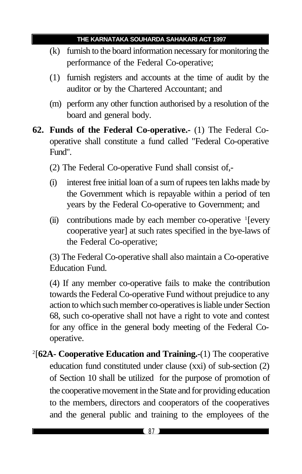- (k) furnish to the board information necessary for monitoring the performance of the Federal Co-operative;
- (1) furnish registers and accounts at the time of audit by the auditor or by the Chartered Accountant; and
- (m) perform any other function authorised by a resolution of the board and general body.
- **62. Funds of the Federal Co-operative.-** (1) The Federal Cooperative shall constitute a fund called "Federal Co-operative Fund".
	- (2) The Federal Co-operative Fund shall consist of,-
	- (i) interest free initial loan of a sum of rupees ten lakhs made by the Government which is repayable within a period of ten years by the Federal Co-operative to Government; and
	- (ii) contributions made by each member co-operative <sup>1</sup>[every cooperative year] at such rates specified in the bye-laws of the Federal Co-operative;

(3) The Federal Co-operative shall also maintain a Co-operative Education Fund.

(4) If any member co-operative fails to make the contribution towards the Federal Co-operative Fund without prejudice to any action to which such member co-operatives is liable under Section 68, such co-operative shall not have a right to vote and contest for any office in the general body meeting of the Federal Cooperative.

2 [**62A- Cooperative Education and Training.-**(1) The cooperative education fund constituted under clause (xxi) of sub-section (2) of Section 10 shall be utilized for the purpose of promotion of the cooperative movement in the State and for providing education to the members, directors and cooperators of the cooperatives and the general public and training to the employees of the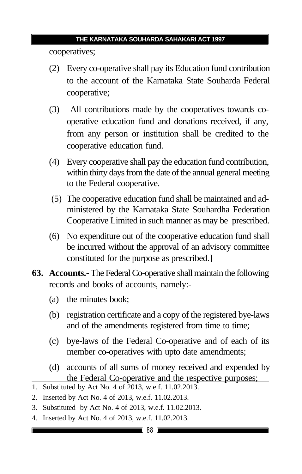cooperatives;

- (2) Every co-operative shall pay its Education fund contribution to the account of the Karnataka State Souharda Federal cooperative;
- (3) All contributions made by the cooperatives towards cooperative education fund and donations received, if any, from any person or institution shall be credited to the cooperative education fund.
- (4) Every cooperative shall pay the education fund contribution, within thirty days from the date of the annual general meeting to the Federal cooperative.
- (5) The cooperative education fund shall be maintained and administered by the Karnataka State Souhardha Federation Cooperative Limited in such manner as may be prescribed.
- (6) No expenditure out of the cooperative education fund shall be incurred without the approval of an advisory committee constituted for the purpose as prescribed.]
- **63. Accounts.-** The Federal Co-operative shall maintain the following records and books of accounts, namely:-
	- (a) the minutes book;
	- (b) registration certificate and a copy of the registered bye-laws and of the amendments registered from time to time;
	- (c) bye-laws of the Federal Co-operative and of each of its member co-operatives with upto date amendments;
	- (d) accounts of all sums of money received and expended by the Federal Co-operative and the respective purposes;

- 2. Inserted by Act No. 4 of 2013, w.e.f. 11.02.2013.
- 3. Substituted by Act No. 4 of 2013, w.e.f. 11.02.2013.
- 4. Inserted by Act No. 4 of 2013, w.e.f. 11.02.2013.

<sup>1.</sup> Substituted by Act No. 4 of 2013, w.e.f. 11.02.2013.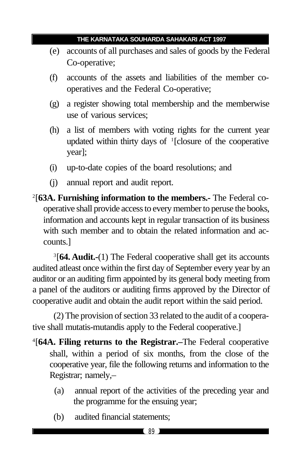- (e) accounts of all purchases and sales of goods by the Federal Co-operative;
- (f) accounts of the assets and liabilities of the member cooperatives and the Federal Co-operative;
- (g) a register showing total membership and the memberwise use of various services;
- (h) a list of members with voting rights for the current year updated within thirty days of <sup>1</sup> [closure of the cooperative year];
- (i) up-to-date copies of the board resolutions; and
- (j) annual report and audit report.
- 2 [**63A. Furnishing information to the members.-** The Federal cooperative shall provide access to every member to peruse the books, information and accounts kept in regular transaction of its business with such member and to obtain the related information and accounts.]

3 [**64. Audit.-**(1) The Federal cooperative shall get its accounts audited atleast once within the first day of September every year by an auditor or an auditing firm appointed by its general body meeting from a panel of the auditors or auditing firms approved by the Director of cooperative audit and obtain the audit report within the said period.

(2) The provision of section 33 related to the audit of a cooperative shall mutatis-mutandis apply to the Federal cooperative.]

- 4 [**64A. Filing returns to the Registrar.–**The Federal cooperative shall, within a period of six months, from the close of the cooperative year, file the following returns and information to the Registrar; namely,–
	- (a) annual report of the activities of the preceding year and the programme for the ensuing year;
	- (b) audited financial statements;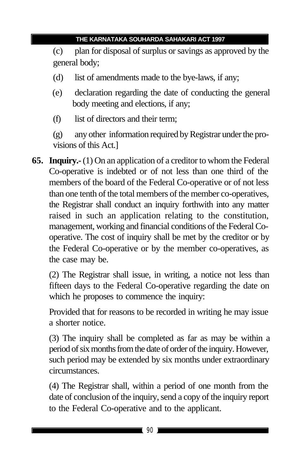(c) plan for disposal of surplus or savings as approved by the general body;

- (d) list of amendments made to the bye-laws, if any;
- (e) declaration regarding the date of conducting the general body meeting and elections, if any;
- (f) list of directors and their term;

(g) any other information required by Registrar under the provisions of this Act.]

**65. Inquiry.-** (1) On an application of a creditor to whom the Federal Co-operative is indebted or of not less than one third of the members of the board of the Federal Co-operative or of not less than one tenth of the total members of the member co-operatives, the Registrar shall conduct an inquiry forthwith into any matter raised in such an application relating to the constitution, management, working and financial conditions of the Federal Cooperative. The cost of inquiry shall be met by the creditor or by the Federal Co-operative or by the member co-operatives, as the case may be.

(2) The Registrar shall issue, in writing, a notice not less than fifteen days to the Federal Co-operative regarding the date on which he proposes to commence the inquiry:

Provided that for reasons to be recorded in writing he may issue a shorter notice.

(3) The inquiry shall be completed as far as may be within a period of six months from the date of order of the inquiry. However, such period may be extended by six months under extraordinary circumstances.

(4) The Registrar shall, within a period of one month from the date of conclusion of the inquiry, send a copy of the inquiry report to the Federal Co-operative and to the applicant.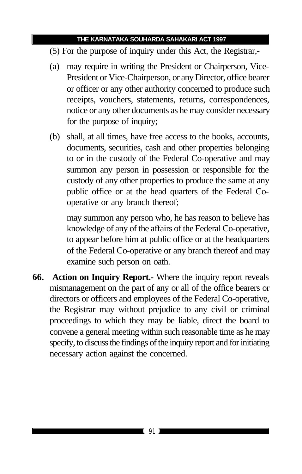- (5) For the purpose of inquiry under this Act, the Registrar,-
- (a) may require in writing the President or Chairperson, Vice-President or Vice-Chairperson, or any Director, office bearer or officer or any other authority concerned to produce such receipts, vouchers, statements, returns, correspondences, notice or any other documents as he may consider necessary for the purpose of inquiry;
- (b) shall, at all times, have free access to the books, accounts, documents, securities, cash and other properties belonging to or in the custody of the Federal Co-operative and may summon any person in possession or responsible for the custody of any other properties to produce the same at any public office or at the head quarters of the Federal Cooperative or any branch thereof;

may summon any person who, he has reason to believe has knowledge of any of the affairs of the Federal Co-operative, to appear before him at public office or at the headquarters of the Federal Co-operative or any branch thereof and may examine such person on oath.

**66. Action on Inquiry Report.-** Where the inquiry report reveals mismanagement on the part of any or all of the office bearers or directors or officers and employees of the Federal Co-operative, the Registrar may without prejudice to any civil or criminal proceedings to which they may be liable, direct the board to convene a general meeting within such reasonable time as he may specify, to discuss the findings of the inquiry report and for initiating necessary action against the concerned.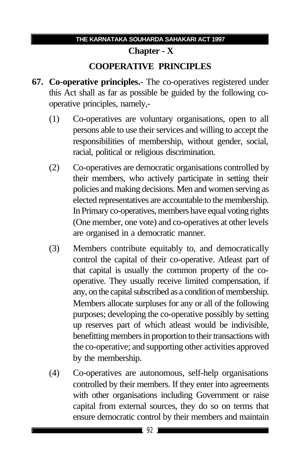# **Chapter - X COOPERATIVE PRINCIPLES**

- **67. Co-operative principles.-** The co-operatives registered under this Act shall as far as possible be guided by the following cooperative principles, namely,-
	- (1) Co-operatives are voluntary organisations, open to all persons able to use their services and willing to accept the responsibilities of membership, without gender, social, racial, political or religious discrimination.
	- (2) Co-operatives are democratic organisations controlled by their members, who actively participate in setting their policies and making decisions. Men and women serving as elected representatives are accountable to the membership. In Primary co-operatives, members have equal voting rights (One member, one vote) and co-operatives at other levels are organised in a democratic manner.
	- (3) Members contribute equitably to, and democratically control the capital of their co-operative. Atleast part of that capital is usually the common property of the cooperative. They usually receive limited compensation, if any, on the capital subscribed as a condition of membership. Members allocate surpluses for any or all of the following purposes; developing the co-operative possibly by setting up reserves part of which atleast would be indivisible, benefitting members in proportion to their transactions with the co-operative; and supporting other activities approved by the membership.
	- (4) Co-operatives are autonomous, self-help organisations controlled by their members. If they enter into agreements with other organisations including Government or raise capital from external sources, they do so on terms that ensure democratic control by their members and maintain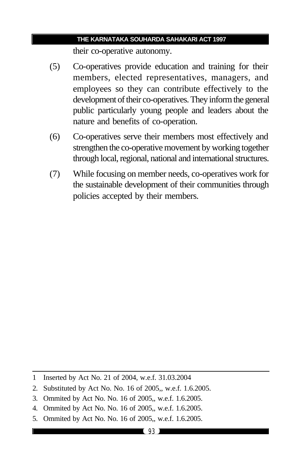their co-operative autonomy.

- (5) Co-operatives provide education and training for their members, elected representatives, managers, and employees so they can contribute effectively to the development of their co-operatives. They inform the general public particularly young people and leaders about the nature and benefits of co-operation.
- (6) Co-operatives serve their members most effectively and strengthen the co-operative movement by working together through local, regional, national and international structures.
- (7) While focusing on member needs, co-operatives work for the sustainable development of their communities through policies accepted by their members.

- 2. Substituted by Act No. No. 16 of 2005,, w.e.f. 1.6.2005.
- 3. Ommited by Act No. No. 16 of 2005,, w.e.f. 1.6.2005.
- 4. Ommited by Act No. No. 16 of 2005,, w.e.f. 1.6.2005.
- 5. Ommited by Act No. No. 16 of 2005,, w.e.f. 1.6.2005.

<sup>1</sup> Inserted by Act No. 21 of 2004, w.e.f. 31.03.2004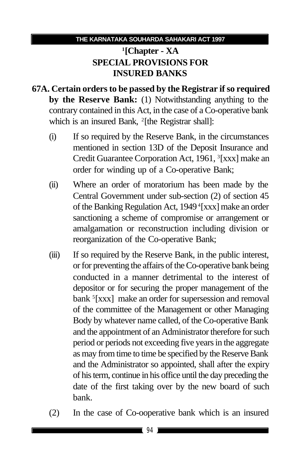## **1 [Chapter - XA SPECIAL PROVISIONS FOR INSURED BANKS**

- **67A. Certain orders to be passed by the Registrar if so required by the Reserve Bank:** (1) Notwithstanding anything to the contrary contained in this Act, in the case of a Co-operative bank which is an insured Bank, <sup>2</sup>[the Registrar shall]:
	- (i) If so required by the Reserve Bank, in the circumstances mentioned in section 13D of the Deposit Insurance and Credit Guarantee Corporation Act, 1961, <sup>3</sup> [xxx] make an order for winding up of a Co-operative Bank;
	- (ii) Where an order of moratorium has been made by the Central Government under sub-section (2) of section 45 of the Banking Regulation Act, 1949 <sup>4</sup> [xxx] make an order sanctioning a scheme of compromise or arrangement or amalgamation or reconstruction including division or reorganization of the Co-operative Bank;
	- (iii) If so required by the Reserve Bank, in the public interest, or for preventing the affairs of the Co-operative bank being conducted in a manner detrimental to the interest of depositor or for securing the proper management of the bank <sup>5</sup>[xxx] make an order for supersession and removal of the committee of the Management or other Managing Body by whatever name called, of the Co-operative Bank and the appointment of an Administrator therefore for such period or periods not exceeding five years in the aggregate as may from time to time be specified by the Reserve Bank and the Administrator so appointed, shall after the expiry of his term, continue in his office until the day preceding the date of the first taking over by the new board of such bank.
	- (2) In the case of Co-ooperative bank which is an insured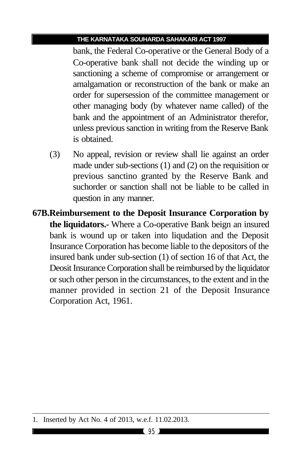bank, the Federal Co-operative or the General Body of a Co-operative bank shall not decide the winding up or sanctioning a scheme of compromise or arrangement or amalgamation or reconstruction of the bank or make an order for supersession of the committee management or other managing body (by whatever name called) of the bank and the appointment of an Administrator therefor, unless previous sanction in writing from the Reserve Bank is obtained.

- (3) No appeal, revision or review shall lie against an order made under sub-sections (1) and (2) on the requisition or previous sanctino granted by the Reserve Bank and suchorder or sanction shall not be liable to be called in question in any manner.
- **67B.Reimbursement to the Deposit Insurance Corporation by the liquidators.-** Where a Co-operative Bank beign an insured bank is wound up or taken into liqudation and the Deposit Insurance Corporation has become liable to the depositors of the insured bank under sub-section (1) of section 16 of that Act, the Deosit Insurance Corporation shall be reimbursed by the liquidator or such other person in the circumstances, to the extent and in the manner provided in section 21 of the Deposit Insurance Corporation Act, 1961.

<sup>1.</sup> Inserted by Act No. 4 of 2013, w.e.f. 11.02.2013.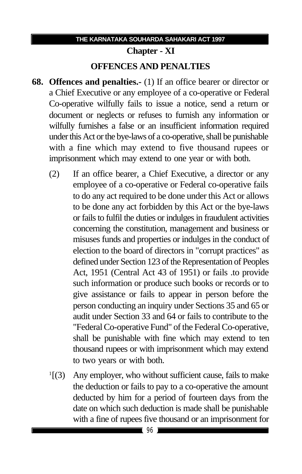# **Chapter - XI OFFENCES AND PENALTIES**

- **68. Offences and penalties.-** (1) If an office bearer or director or a Chief Executive or any employee of a co-operative or Federal Co-operative wilfully fails to issue a notice, send a return or document or neglects or refuses to furnish any information or wilfully furnishes a false or an insufficient information required under this Act or the bye-laws of a co-operative, shall be punishable with a fine which may extend to five thousand rupees or imprisonment which may extend to one year or with both.
	- (2) If an office bearer, a Chief Executive, a director or any employee of a co-operative or Federal co-operative fails to do any act required to be done under this Act or allows to be done any act forbidden by this Act or the bye-laws or fails to fulfil the duties or indulges in fraudulent activities concerning the constitution, management and business or misuses funds and properties or indulges in the conduct of election to the board of directors in "corrupt practices" as defined under Section 123 of the Representation of Peoples Act, 1951 (Central Act 43 of 1951) or fails .to provide such information or produce such books or records or to give assistance or fails to appear in person before the person conducting an inquiry under Sections 35 and 65 or audit under Section 33 and 64 or fails to contribute to the "Federal Co-operative Fund" of the Federal Co-operative, shall be punishable with fine which may extend to ten thousand rupees or with imprisonment which may extend to two years or with both.
	- $\frac{1}{3}$ Any employer, who without sufficient cause, fails to make the deduction or fails to pay to a co-operative the amount deducted by him for a period of fourteen days from the date on which such deduction is made shall be punishable with a fine of rupees five thousand or an imprisonment for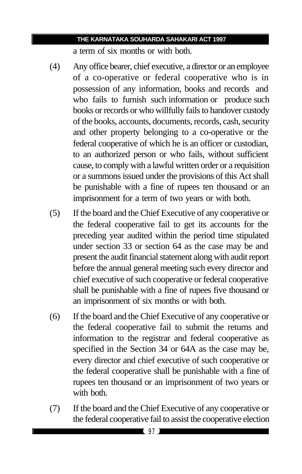a term of six months or with both.

- (4) Any office bearer, chief executive, a director or an employee of a co-operative or federal cooperative who is in possession of any information, books and records and who fails to furnish such information or produce such books or records or who willfully fails to handover custody of the books, accounts, documents, records, cash, security and other property belonging to a co-operative or the federal cooperative of which he is an officer or custodian, to an authorized person or who fails, without sufficient cause, to comply with a lawful written order or a requisition or a summons issued under the provisions of this Act shall be punishable with a fine of rupees ten thousand or an imprisonment for a term of two years or with both.
- (5) If the board and the Chief Executive of any cooperative or the federal cooperative fail to get its accounts for the preceding year audited within the period time stipulated under section 33 or section 64 as the case may be and present the audit financial statement along with audit report before the annual general meeting such every director and chief executive of such cooperative or federal cooperative shall be punishable with a fine of rupees five thousand or an imprisonment of six months or with both.
- (6) If the board and the Chief Executive of any cooperative or the federal cooperative fail to submit the returns and information to the registrar and federal cooperative as specified in the Section 34 or 64A as the case may be, every director and chief executive of such cooperative or the federal cooperative shall be punishable with a fine of rupees ten thousand or an imprisonment of two years or with both.
- (7) If the board and the Chief Executive of any cooperative or the federal cooperative fail to assist the cooperative election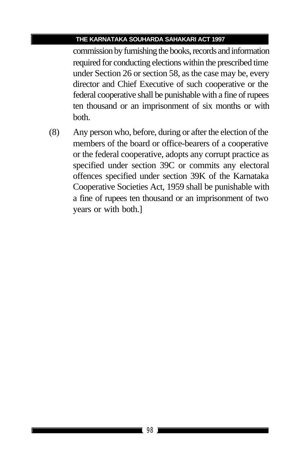commission by furnishing the books, records and information required for conducting elections within the prescribed time under Section 26 or section 58, as the case may be, every director and Chief Executive of such cooperative or the federal cooperative shall be punishable with a fine of rupees ten thousand or an imprisonment of six months or with both.

(8) Any person who, before, during or after the election of the members of the board or office-bearers of a cooperative or the federal cooperative, adopts any corrupt practice as specified under section 39C or commits any electoral offences specified under section 39K of the Karnataka Cooperative Societies Act, 1959 shall be punishable with a fine of rupees ten thousand or an imprisonment of two years or with both.]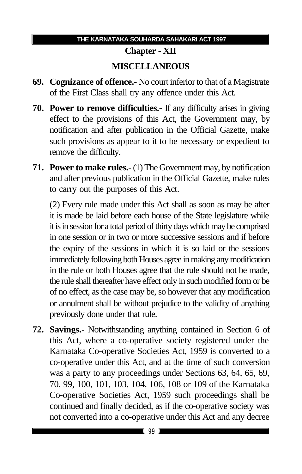## **THE KARNATAKA SOUHARDA SAHAKARI ACT 1997**

## **Chapter - XII MISCELLANEOUS**

- **69. Cognizance of offence.-** No court inferior to that of a Magistrate of the First Class shall try any offence under this Act.
- **70. Power to remove difficulties.-** If any difficulty arises in giving effect to the provisions of this Act, the Government may, by notification and after publication in the Official Gazette, make such provisions as appear to it to be necessary or expedient to remove the difficulty.
- **71. Power to make rules.-** (1) The Government may, by notification and after previous publication in the Official Gazette, make rules to carry out the purposes of this Act.

(2) Every rule made under this Act shall as soon as may be after it is made be laid before each house of the State legislature while it is in session for a total period of thirty days which may be comprised in one session or in two or more successive sessions and if before the expiry of the sessions in which it is so laid or the sessions immediately following both Houses agree in making any modification in the rule or both Houses agree that the rule should not be made, the rule shall thereafter have effect only in such modified form or be of no effect, as the case may be, so however that any modification or annulment shall be without prejudice to the validity of anything previously done under that rule.

**72. Savings.-** Notwithstanding anything contained in Section 6 of this Act, where a co-operative society registered under the Karnataka Co-operative Societies Act, 1959 is converted to a co-operative under this Act, and at the time of such conversion was a party to any proceedings under Sections 63, 64, 65, 69, 70, 99, 100, 101, 103, 104, 106, 108 or 109 of the Karnataka Co-operative Societies Act, 1959 such proceedings shall be continued and finally decided, as if the co-operative society was not converted into a co-operative under this Act and any decree